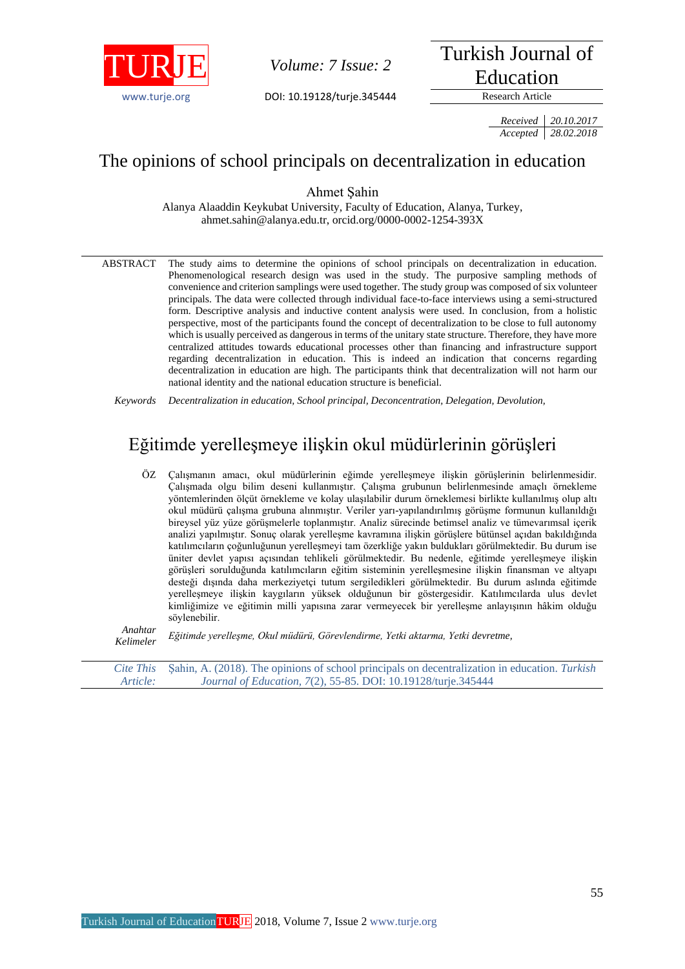

*Volume: 7 Issue: 2* 

[www.turje.org](http://www.turje.org/) DOI: 10.19128/turje.345444 Research Article

Turkish Journal of Education

*Received 20.10.2017 Accepted 28.02.2018*

# The opinions of school principals on decentralization in education

Ahmet Şahin

Alanya Alaaddin Keykubat University, Faculty of Education, Alanya, Turkey, ahmet.sahin@alanya.edu.tr, orcid.org/0000-0002-1254-393X

ABSTRACT The study aims to determine the opinions of school principals on decentralization in education. Phenomenological research design was used in the study. The purposive sampling methods of convenience and criterion samplings were used together. The study group was composed of six volunteer principals. The data were collected through individual face-to-face interviews using a semi-structured form. Descriptive analysis and inductive content analysis were used. In conclusion, from a holistic perspective, most of the participants found the concept of decentralization to be close to full autonomy which is usually perceived as dangerous in terms of the unitary state structure. Therefore, they have more centralized attitudes towards educational processes other than financing and infrastructure support regarding decentralization in education. This is indeed an indication that concerns regarding decentralization in education are high. The participants think that decentralization will not harm our national identity and the national education structure is beneficial.

*Keywords Decentralization in education, School principal, Deconcentration, Delegation, Devolution,*

# Eğitimde yerelleşmeye ilişkin okul müdürlerinin görüşleri

ÖZ Çalışmanın amacı, okul müdürlerinin eğimde yerelleşmeye ilişkin görüşlerinin belirlenmesidir. Çalışmada olgu bilim deseni kullanmıştır. Çalışma grubunun belirlenmesinde amaçlı örnekleme yöntemlerinden ölçüt örnekleme ve kolay ulaşılabilir durum örneklemesi birlikte kullanılmış olup altı okul müdürü çalışma grubuna alınmıştır. Veriler yarı-yapılandırılmış görüşme formunun kullanıldığı bireysel yüz yüze görüşmelerle toplanmıştır. Analiz sürecinde betimsel analiz ve tümevarımsal içerik analizi yapılmıştır. Sonuç olarak yerelleşme kavramına ilişkin görüşlere bütünsel açıdan bakıldığında katılımcıların çoğunluğunun yerelleşmeyi tam özerkliğe yakın buldukları görülmektedir. Bu durum ise üniter devlet yapısı açısından tehlikeli görülmektedir. Bu nedenle, eğitimde yerelleşmeye ilişkin görüşleri sorulduğunda katılımcıların eğitim sisteminin yerelleşmesine ilişkin finansman ve altyapı desteği dışında daha merkeziyetçi tutum sergiledikleri görülmektedir. Bu durum aslında eğitimde yerelleşmeye ilişkin kaygıların yüksek olduğunun bir göstergesidir. Katılımcılarda ulus devlet kimliğimize ve eğitimin milli yapısına zarar vermeyecek bir yerelleşme anlayışının hâkim olduğu söylenebilir.

*Anahtar Kelimeler Eğitimde yerelleşme, Okul müdürü, Görevlendirme, Yetki aktarma, Yetki devretme,*

*Cite This Article:* Şahin, A. (2018). The opinions of school principals on decentralization in education. *Turkish Journal of Education, 7*(2), 55-85. DOI: 10.19128/turje.345444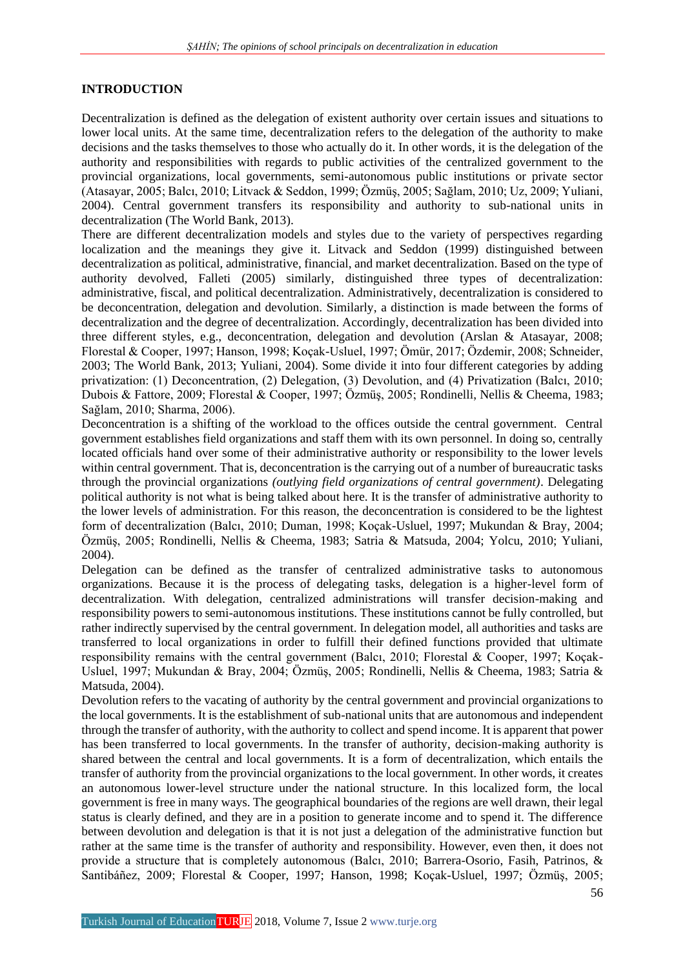## **INTRODUCTION**

Decentralization is defined as the delegation of existent authority over certain issues and situations to lower local units. At the same time, decentralization refers to the delegation of the authority to make decisions and the tasks themselves to those who actually do it. In other words, it is the delegation of the authority and responsibilities with regards to public activities of the centralized government to the provincial organizations*,* local governments, semi-autonomous public institutions or private sector (Atasayar, 2005; Balcı, 2010; Litvack & Seddon, 1999; Özmüş, 2005; Sağlam, 2010; Uz, 2009; Yuliani, 2004). Central government transfers its responsibility and authority to sub-national units in decentralization (The World Bank, 2013).

There are different decentralization models and styles due to the variety of perspectives regarding localization and the meanings they give it. Litvack and Seddon (1999) distinguished between decentralization as political, administrative, financial, and market decentralization. Based on the type of authority devolved, Falleti (2005) similarly, distinguished three types of decentralization: administrative, fiscal, and political decentralization. Administratively, decentralization is considered to be deconcentration, delegation and devolution. Similarly, a distinction is made between the forms of decentralization and the degree of decentralization. Accordingly, decentralization has been divided into three different styles, e.g., deconcentration, delegation and devolution (Arslan & Atasayar, 2008; Florestal & Cooper, 1997; Hanson, 1998; Koçak-Usluel, 1997; Ömür, 2017; Özdemir, 2008; Schneider, 2003; The World Bank, 2013; Yuliani, 2004). Some divide it into four different categories by adding privatization: (1) Deconcentration, (2) Delegation, (3) Devolution, and (4) Privatization (Balcı, 2010; Dubois & Fattore, 2009; Florestal & Cooper, 1997; Özmüş, 2005; Rondinelli, Nellis & Cheema, 1983; Sağlam, 2010; Sharma, 2006).

Deconcentration is a shifting of the workload to the offices outside the central government. Central government establishes field organizations and staff them with its own personnel. In doing so, centrally located officials hand over some of their administrative authority or responsibility to the lower levels within central government. That is, deconcentration is the carrying out of a number of bureaucratic tasks through the provincial organizations *(outlying field organizations of central government)*. Delegating political authority is not what is being talked about here. It is the transfer of administrative authority to the lower levels of administration. For this reason, the deconcentration is considered to be the lightest form of decentralization (Balcı, 2010; Duman, 1998; Koçak-Usluel, 1997; Mukundan & Bray, 2004; Özmüş, 2005; Rondinelli, Nellis & Cheema, 1983; Satria & Matsuda, 2004; Yolcu, 2010; Yuliani, 2004).

Delegation can be defined as the transfer of centralized administrative tasks to autonomous organizations. Because it is the process of delegating tasks, delegation is a higher-level form of decentralization. With delegation, centralized administrations will transfer decision-making and responsibility powers to semi-autonomous institutions. These institutions cannot be fully controlled, but rather indirectly supervised by the central government. In delegation model, all authorities and tasks are transferred to local organizations in order to fulfill their defined functions provided that ultimate responsibility remains with the central government (Balcı, 2010; Florestal & Cooper, 1997; Koçak-Usluel, 1997; Mukundan & Bray, 2004; Özmüş, 2005; Rondinelli, Nellis & Cheema, 1983; Satria & Matsuda, 2004).

Devolution refers to the vacating of authority by the central government and provincial organizations to the local governments. It is the establishment of sub-national units that are autonomous and independent through the transfer of authority, with the authority to collect and spend income. It is apparent that power has been transferred to local governments. In the transfer of authority, decision-making authority is shared between the central and local governments. It is a form of decentralization, which entails the transfer of authority from the provincial organizations to the local government. In other words, it creates an autonomous lower-level structure under the national structure. In this localized form, the local government is free in many ways. The geographical boundaries of the regions are well drawn, their legal status is clearly defined, and they are in a position to generate income and to spend it. The difference between devolution and delegation is that it is not just a delegation of the administrative function but rather at the same time is the transfer of authority and responsibility. However, even then, it does not provide a structure that is completely autonomous (Balcı, 2010; Barrera-Osorio, Fasih, Patrinos, & Santibáñez, 2009; Florestal & Cooper, 1997; Hanson, 1998; Koçak-Usluel, 1997; Özmüş, 2005;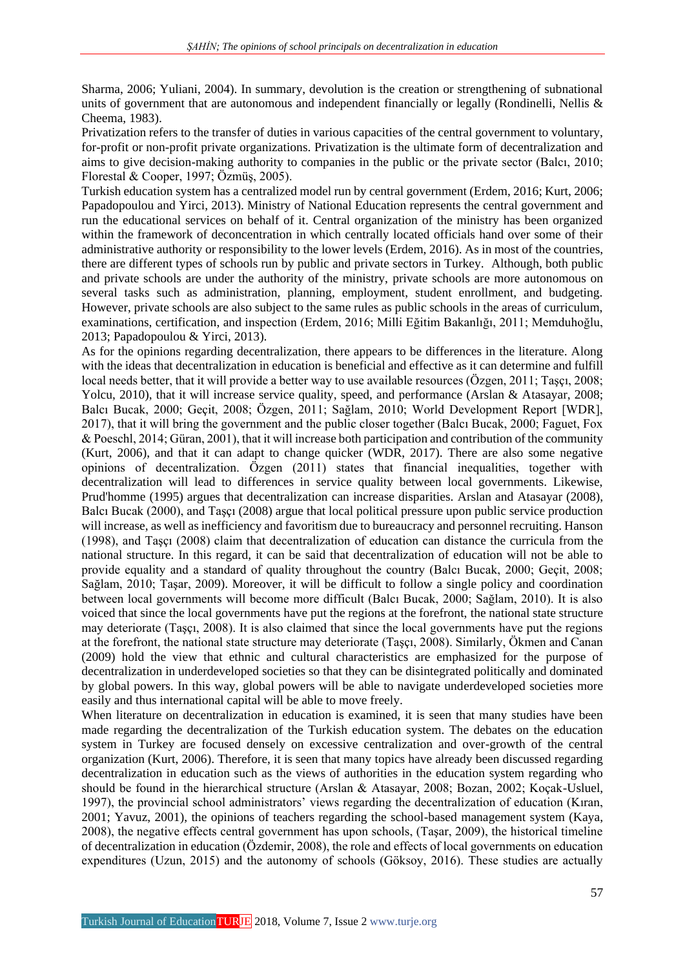Sharma, 2006; Yuliani, 2004). In summary, devolution is the creation or strengthening of subnational units of government that are autonomous and independent financially or legally (Rondinelli, Nellis  $\&$ Cheema, 1983).

Privatization refers to the transfer of duties in various capacities of the central government to voluntary, for-profit or non-profit private organizations. Privatization is the ultimate form of decentralization and aims to give decision-making authority to companies in the public or the private sector (Balcı, 2010; Florestal & Cooper, 1997; Özmüş, 2005).

Turkish education system has a centralized model run by central government (Erdem, 2016; Kurt, 2006; Papadopoulou and Yirci, 2013). Ministry of National Education represents the central government and run the educational services on behalf of it. Central organization of the ministry has been organized within the framework of deconcentration in which centrally located officials hand over some of their administrative authority or responsibility to the lower levels (Erdem, 2016). As in most of the countries, there are different types of schools run by public and private sectors in Turkey.Although, both public and private schools are under the authority of the ministry, private schools are more autonomous on several tasks such as administration, planning, employment, student enrollment, and budgeting. However, private schools are also subject to the same rules as public schools in the areas of curriculum, examinations, certification, and inspection (Erdem, 2016; Milli Eğitim Bakanlığı, 2011; Memduhoğlu, 2013; Papadopoulou & Yirci, 2013).

As for the opinions regarding decentralization, there appears to be differences in the literature. Along with the ideas that decentralization in education is beneficial and effective as it can determine and fulfill local needs better, that it will provide a better way to use available resources (Özgen, 2011; Tasci, 2008; Yolcu, 2010), that it will increase service quality, speed, and performance (Arslan & Atasayar, 2008; Balcı Bucak, 2000; Geçit, 2008; Özgen, 2011; Sağlam, 2010; World Development Report [WDR], 2017), that it will bring the government and the public closer together (Balcı Bucak, 2000; Faguet, Fox & Poeschl, 2014; Güran, 2001), that it will increase both participation and contribution of the community (Kurt, 2006), and that it can adapt to change quicker (WDR, 2017). There are also some negative opinions of decentralization. Özgen (2011) states that financial inequalities, together with decentralization will lead to differences in service quality between local governments. Likewise, Prud'homme (1995) argues that decentralization can increase disparities. Arslan and Atasayar (2008), Balcı Bucak (2000), and Taşçı (2008) argue that local political pressure upon public service production will increase, as well as inefficiency and favoritism due to bureaucracy and personnel recruiting. Hanson (1998), and Taşçı (2008) claim that decentralization of education can distance the curricula from the national structure. In this regard, it can be said that decentralization of education will not be able to provide equality and a standard of quality throughout the country (Balcı Bucak, 2000; Geçit, 2008; Sağlam, 2010; Taşar, 2009). Moreover, it will be difficult to follow a single policy and coordination between local governments will become more difficult (Balcı Bucak, 2000; Sağlam, 2010). It is also voiced that since the local governments have put the regions at the forefront, the national state structure may deteriorate (Taşçı, 2008). It is also claimed that since the local governments have put the regions at the forefront, the national state structure may deteriorate (Taşçı, 2008). Similarly, Ökmen and Canan (2009) hold the view that ethnic and cultural characteristics are emphasized for the purpose of decentralization in underdeveloped societies so that they can be disintegrated politically and dominated by global powers. In this way, global powers will be able to navigate underdeveloped societies more easily and thus international capital will be able to move freely.

When literature on decentralization in education is examined, it is seen that many studies have been made regarding the decentralization of the Turkish education system. The debates on the education system in Turkey are focused densely on excessive centralization and over-growth of the central organization (Kurt, 2006). Therefore, it is seen that many topics have already been discussed regarding decentralization in education such as the views of authorities in the education system regarding who should be found in the hierarchical structure (Arslan & Atasayar, 2008; Bozan, 2002; Koçak-Usluel, 1997), the provincial school administrators' views regarding the decentralization of education (Kıran, 2001; Yavuz, 2001), the opinions of teachers regarding the school-based management system (Kaya, 2008), the negative effects central government has upon schools, (Taşar, 2009), the historical timeline of decentralization in education (Özdemir, 2008), the role and effects of local governments on education expenditures (Uzun, 2015) and the autonomy of schools (Göksoy, 2016). These studies are actually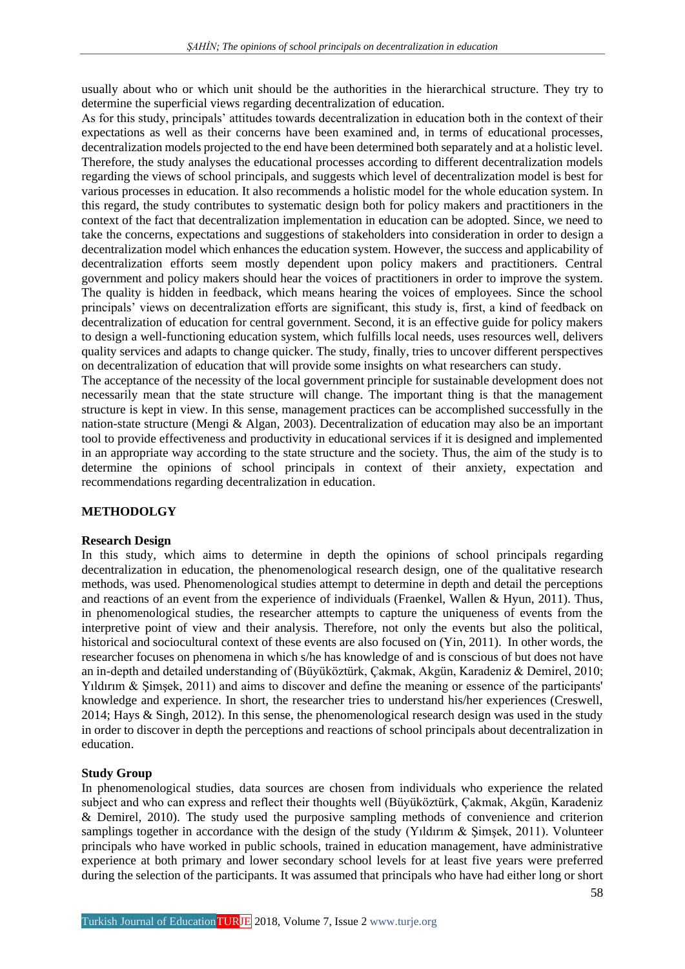usually about who or which unit should be the authorities in the hierarchical structure. They try to determine the superficial views regarding decentralization of education.

As for this study, principals' attitudes towards decentralization in education both in the context of their expectations as well as their concerns have been examined and, in terms of educational processes, decentralization models projected to the end have been determined both separately and at a holistic level. Therefore, the study analyses the educational processes according to different decentralization models regarding the views of school principals, and suggests which level of decentralization model is best for various processes in education. It also recommends a holistic model for the whole education system. In this regard, the study contributes to systematic design both for policy makers and practitioners in the context of the fact that decentralization implementation in education can be adopted. Since, we need to take the concerns, expectations and suggestions of stakeholders into consideration in order to design a decentralization model which enhances the education system. However, the success and applicability of decentralization efforts seem mostly dependent upon policy makers and practitioners. Central government and policy makers should hear the voices of practitioners in order to improve the system. The quality is hidden in feedback, which means hearing the voices of employees. Since the school principals' views on decentralization efforts are significant, this study is, first, a kind of feedback on decentralization of education for central government. Second, it is an effective guide for policy makers to design a well-functioning education system, which fulfills local needs, uses resources well, delivers quality services and adapts to change quicker. The study, finally, tries to uncover different perspectives on decentralization of education that will provide some insights on what researchers can study.

The acceptance of the necessity of the local government principle for sustainable development does not necessarily mean that the state structure will change. The important thing is that the management structure is kept in view. In this sense, management practices can be accomplished successfully in the nation-state structure (Mengi & Algan, 2003). Decentralization of education may also be an important tool to provide effectiveness and productivity in educational services if it is designed and implemented in an appropriate way according to the state structure and the society. Thus, the aim of the study is to determine the opinions of school principals in context of their anxiety, expectation and recommendations regarding decentralization in education.

## **METHODOLGY**

### **Research Design**

In this study, which aims to determine in depth the opinions of school principals regarding decentralization in education, the phenomenological research design, one of the qualitative research methods, was used. Phenomenological studies attempt to determine in depth and detail the perceptions and reactions of an event from the experience of individuals (Fraenkel, Wallen & Hyun, 2011). Thus, in phenomenological studies, the researcher attempts to capture the uniqueness of events from the interpretive point of view and their analysis. Therefore, not only the events but also the political, historical and sociocultural context of these events are also focused on (Yin, 2011). In other words, the researcher focuses on phenomena in which s/he has knowledge of and is conscious of but does not have an in-depth and detailed understanding of (Büyüköztürk, Çakmak, Akgün, Karadeniz & Demirel, 2010; Yıldırım & Şimşek, 2011) and aims to discover and define the meaning or essence of the participants' knowledge and experience. In short, the researcher tries to understand his/her experiences (Creswell, 2014; Hays & Singh, 2012). In this sense, the phenomenological research design was used in the study in order to discover in depth the perceptions and reactions of school principals about decentralization in education.

### **Study Group**

In phenomenological studies, data sources are chosen from individuals who experience the related subject and who can express and reflect their thoughts well (Büyüköztürk, Çakmak, Akgün, Karadeniz & Demirel, 2010). The study used the purposive sampling methods of convenience and criterion samplings together in accordance with the design of the study (Yıldırım & Şimşek, 2011). Volunteer principals who have worked in public schools, trained in education management, have administrative experience at both primary and lower secondary school levels for at least five years were preferred during the selection of the participants. It was assumed that principals who have had either long or short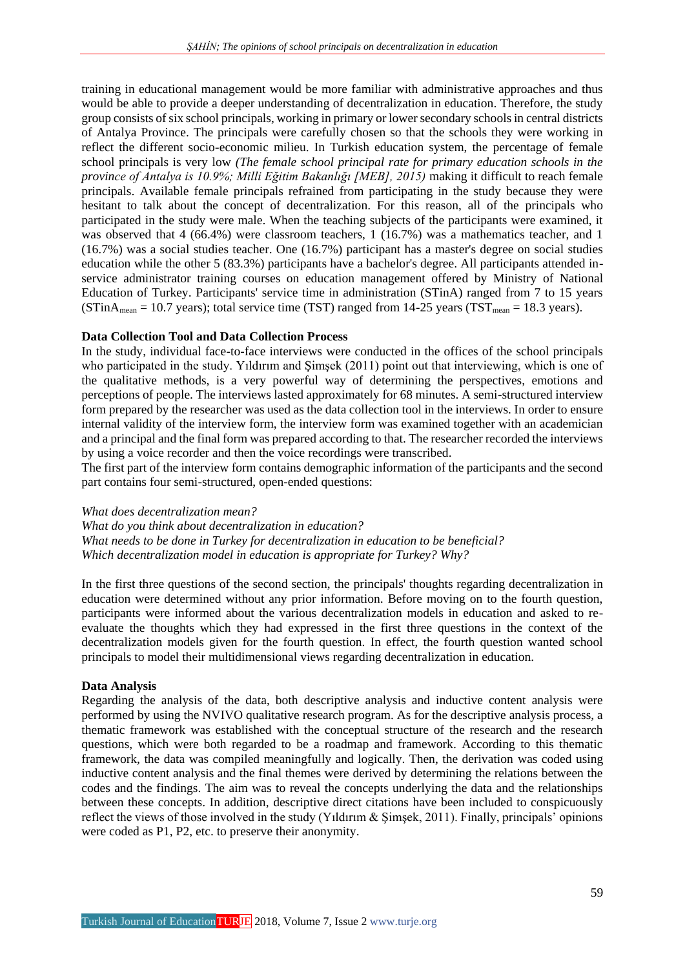training in educational management would be more familiar with administrative approaches and thus would be able to provide a deeper understanding of decentralization in education. Therefore, the study group consists of six school principals, working in primary or lower secondary schools in central districts of Antalya Province. The principals were carefully chosen so that the schools they were working in reflect the different socio-economic milieu. In Turkish education system, the percentage of female school principals is very low *(The female school principal rate for primary education schools in the province of Antalya is 10.9%; Milli Eğitim Bakanlığı [MEB], 2015)* making it difficult to reach female principals. Available female principals refrained from participating in the study because they were hesitant to talk about the concept of decentralization. For this reason, all of the principals who participated in the study were male. When the teaching subjects of the participants were examined, it was observed that 4 (66.4%) were classroom teachers, 1 (16.7%) was a mathematics teacher, and 1 (16.7%) was a social studies teacher. One (16.7%) participant has a master's degree on social studies education while the other 5 (83.3%) participants have a bachelor's degree. All participants attended inservice administrator training courses on education management offered by Ministry of National Education of Turkey. Participants' service time in administration (STinA) ranged from 7 to 15 years (STinA<sub>mean</sub> = 10.7 years); total service time (TST) ranged from 14-25 years (TST<sub>mean</sub> = 18.3 years).

## **Data Collection Tool and Data Collection Process**

In the study, individual face-to-face interviews were conducted in the offices of the school principals who participated in the study. Yıldırım and Şimşek (2011) point out that interviewing, which is one of the qualitative methods, is a very powerful way of determining the perspectives, emotions and perceptions of people. The interviews lasted approximately for 68 minutes. A semi-structured interview form prepared by the researcher was used as the data collection tool in the interviews. In order to ensure internal validity of the interview form, the interview form was examined together with an academician and a principal and the final form was prepared according to that. The researcher recorded the interviews by using a voice recorder and then the voice recordings were transcribed.

The first part of the interview form contains demographic information of the participants and the second part contains four semi-structured, open-ended questions:

### *What does decentralization mean?*

*What do you think about decentralization in education? What needs to be done in Turkey for decentralization in education to be beneficial? Which decentralization model in education is appropriate for Turkey? Why?*

In the first three questions of the second section, the principals' thoughts regarding decentralization in education were determined without any prior information. Before moving on to the fourth question, participants were informed about the various decentralization models in education and asked to reevaluate the thoughts which they had expressed in the first three questions in the context of the decentralization models given for the fourth question. In effect, the fourth question wanted school principals to model their multidimensional views regarding decentralization in education.

### **Data Analysis**

Regarding the analysis of the data, both descriptive analysis and inductive content analysis were performed by using the NVIVO qualitative research program. As for the descriptive analysis process, a thematic framework was established with the conceptual structure of the research and the research questions, which were both regarded to be a roadmap and framework. According to this thematic framework, the data was compiled meaningfully and logically. Then, the derivation was coded using inductive content analysis and the final themes were derived by determining the relations between the codes and the findings. The aim was to reveal the concepts underlying the data and the relationships between these concepts. In addition, descriptive direct citations have been included to conspicuously reflect the views of those involved in the study (Yıldırım & Şimşek, 2011). Finally, principals' opinions were coded as P1, P2, etc. to preserve their anonymity.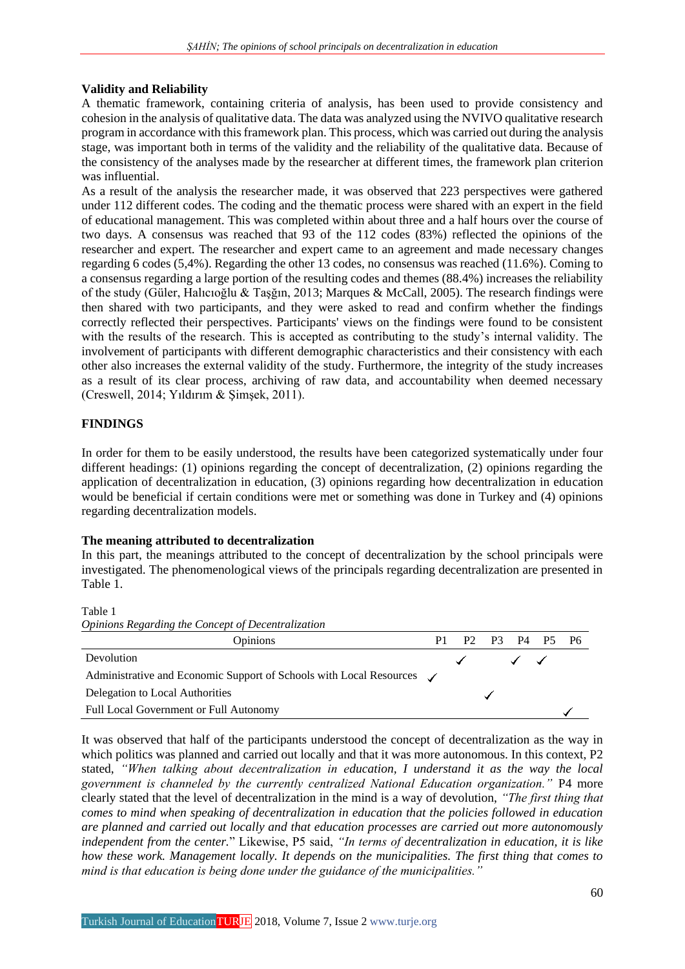## **Validity and Reliability**

A thematic framework, containing criteria of analysis, has been used to provide consistency and cohesion in the analysis of qualitative data. The data was analyzed using the NVIVO qualitative research program in accordance with this framework plan. This process, which was carried out during the analysis stage, was important both in terms of the validity and the reliability of the qualitative data. Because of the consistency of the analyses made by the researcher at different times, the framework plan criterion was influential.

As a result of the analysis the researcher made, it was observed that 223 perspectives were gathered under 112 different codes. The coding and the thematic process were shared with an expert in the field of educational management. This was completed within about three and a half hours over the course of two days. A consensus was reached that 93 of the 112 codes (83%) reflected the opinions of the researcher and expert. The researcher and expert came to an agreement and made necessary changes regarding 6 codes (5,4%). Regarding the other 13 codes, no consensus was reached (11.6%). Coming to a consensus regarding a large portion of the resulting codes and themes (88.4%) increases the reliability of the study (Güler, Halıcıoğlu & Taşğın, 2013; Marques & McCall, 2005). The research findings were then shared with two participants, and they were asked to read and confirm whether the findings correctly reflected their perspectives. Participants' views on the findings were found to be consistent with the results of the research. This is accepted as contributing to the study's internal validity. The involvement of participants with different demographic characteristics and their consistency with each other also increases the external validity of the study. Furthermore, the integrity of the study increases as a result of its clear process, archiving of raw data, and accountability when deemed necessary (Creswell, 2014; Yıldırım & Şimşek, 2011).

# **FINDINGS**

In order for them to be easily understood, the results have been categorized systematically under four different headings: (1) opinions regarding the concept of decentralization, (2) opinions regarding the application of decentralization in education, (3) opinions regarding how decentralization in education would be beneficial if certain conditions were met or something was done in Turkey and (4) opinions regarding decentralization models.

# **The meaning attributed to decentralization**

In this part, the meanings attributed to the concept of decentralization by the school principals were investigated. The phenomenological views of the principals regarding decentralization are presented in Table 1.

Table 1



It was observed that half of the participants understood the concept of decentralization as the way in which politics was planned and carried out locally and that it was more autonomous. In this context, P2 stated, *"When talking about decentralization in education, I understand it as the way the local government is channeled by the currently centralized National Education organization."* P4 more clearly stated that the level of decentralization in the mind is a way of devolution, *"The first thing that comes to mind when speaking of decentralization in education that the policies followed in education are planned and carried out locally and that education processes are carried out more autonomously independent from the center.*" Likewise, P5 said, *"In terms of decentralization in education, it is like how these work. Management locally. It depends on the municipalities. The first thing that comes to mind is that education is being done under the guidance of the municipalities."*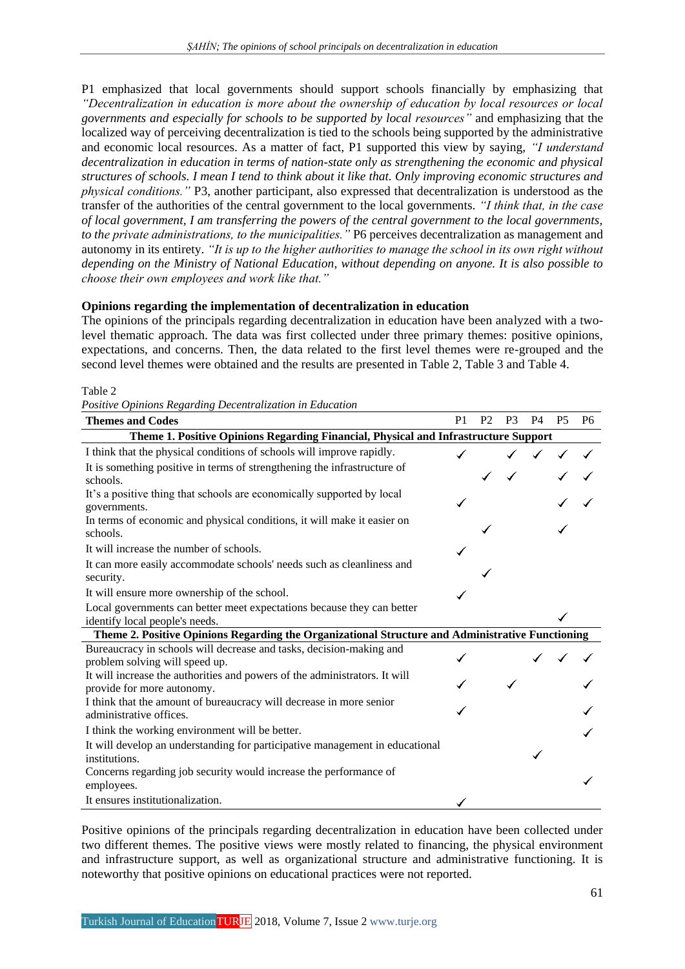P1 emphasized that local governments should support schools financially by emphasizing that *"Decentralization in education is more about the ownership of education by local resources or local governments and especially for schools to be supported by local resources"* and emphasizing that the localized way of perceiving decentralization is tied to the schools being supported by the administrative and economic local resources. As a matter of fact, P1 supported this view by saying, *"I understand decentralization in education in terms of nation-state only as strengthening the economic and physical structures of schools. I mean I tend to think about it like that. Only improving economic structures and physical conditions."* P3, another participant, also expressed that decentralization is understood as the transfer of the authorities of the central government to the local governments. *"I think that, in the case of local government, I am transferring the powers of the central government to the local governments, to the private administrations, to the municipalities."* P6 perceives decentralization as management and autonomy in its entirety. *"It is up to the higher authorities to manage the school in its own right without depending on the Ministry of National Education, without depending on anyone. It is also possible to choose their own employees and work like that."*

## **Opinions regarding the implementation of decentralization in education**

The opinions of the principals regarding decentralization in education have been analyzed with a twolevel thematic approach. The data was first collected under three primary themes: positive opinions, expectations, and concerns. Then, the data related to the first level themes were re-grouped and the second level themes were obtained and the results are presented in Table 2, Table 3 and Table 4.

### Table 2

*Positive Opinions Regarding Decentralization in Education*

| <b>Themes and Codes</b>                                                                                  |  | P <sub>2</sub> | P <sub>3</sub> | <b>P4</b> | <b>P5</b> | <b>P6</b> |
|----------------------------------------------------------------------------------------------------------|--|----------------|----------------|-----------|-----------|-----------|
| Theme 1. Positive Opinions Regarding Financial, Physical and Infrastructure Support                      |  |                |                |           |           |           |
| I think that the physical conditions of schools will improve rapidly.                                    |  |                |                |           |           |           |
| It is something positive in terms of strengthening the infrastructure of<br>schools.                     |  |                |                |           |           |           |
| It's a positive thing that schools are economically supported by local<br>governments.                   |  |                |                |           |           |           |
| In terms of economic and physical conditions, it will make it easier on<br>schools.                      |  |                |                |           |           |           |
| It will increase the number of schools.                                                                  |  |                |                |           |           |           |
| It can more easily accommodate schools' needs such as cleanliness and<br>security.                       |  |                |                |           |           |           |
| It will ensure more ownership of the school.                                                             |  |                |                |           |           |           |
| Local governments can better meet expectations because they can better<br>identify local people's needs. |  |                |                |           |           |           |
| Theme 2. Positive Opinions Regarding the Organizational Structure and Administrative Functioning         |  |                |                |           |           |           |
| Bureaucracy in schools will decrease and tasks, decision-making and<br>problem solving will speed up.    |  |                |                |           |           |           |
| It will increase the authorities and powers of the administrators. It will<br>provide for more autonomy. |  |                |                |           |           |           |
| I think that the amount of bureaucracy will decrease in more senior<br>administrative offices.           |  |                |                |           |           |           |
| I think the working environment will be better.                                                          |  |                |                |           |           |           |
| It will develop an understanding for participative management in educational<br>institutions.            |  |                |                |           |           |           |
| Concerns regarding job security would increase the performance of<br>employees.                          |  |                |                |           |           |           |
| It ensures institutionalization.                                                                         |  |                |                |           |           |           |

Positive opinions of the principals regarding decentralization in education have been collected under two different themes. The positive views were mostly related to financing, the physical environment and infrastructure support, as well as organizational structure and administrative functioning. It is noteworthy that positive opinions on educational practices were not reported.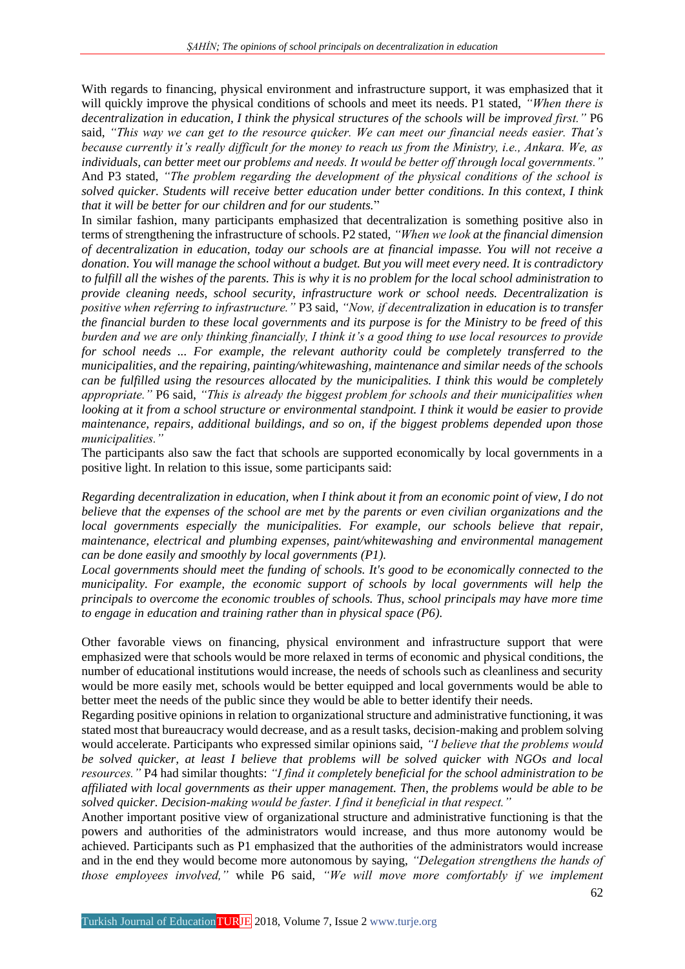With regards to financing, physical environment and infrastructure support, it was emphasized that it will quickly improve the physical conditions of schools and meet its needs. P1 stated, *"When there is decentralization in education, I think the physical structures of the schools will be improved first."* P6 said, *"This way we can get to the resource quicker. We can meet our financial needs easier. That's because currently it's really difficult for the money to reach us from the Ministry, i.e., Ankara. We, as individuals, can better meet our problems and needs. It would be better off through local governments."*  And P3 stated, *"The problem regarding the development of the physical conditions of the school is solved quicker. Students will receive better education under better conditions. In this context, I think that it will be better for our children and for our students.*"

In similar fashion, many participants emphasized that decentralization is something positive also in terms of strengthening the infrastructure of schools. P2 stated, *"When we look at the financial dimension of decentralization in education, today our schools are at financial impasse. You will not receive a donation. You will manage the school without a budget. But you will meet every need. It is contradictory to fulfill all the wishes of the parents. This is why it is no problem for the local school administration to provide cleaning needs, school security, infrastructure work or school needs. Decentralization is positive when referring to infrastructure."* P3 said, *"Now, if decentralization in education is to transfer the financial burden to these local governments and its purpose is for the Ministry to be freed of this burden and we are only thinking financially, I think it's a good thing to use local resources to provide for school needs ... For example, the relevant authority could be completely transferred to the municipalities, and the repairing, painting/whitewashing, maintenance and similar needs of the schools can be fulfilled using the resources allocated by the municipalities. I think this would be completely appropriate."* P6 said, *"This is already the biggest problem for schools and their municipalities when looking at it from a school structure or environmental standpoint. I think it would be easier to provide maintenance, repairs, additional buildings, and so on, if the biggest problems depended upon those municipalities."*

The participants also saw the fact that schools are supported economically by local governments in a positive light. In relation to this issue, some participants said:

*Regarding decentralization in education, when I think about it from an economic point of view, I do not believe that the expenses of the school are met by the parents or even civilian organizations and the local governments especially the municipalities. For example, our schools believe that repair, maintenance, electrical and plumbing expenses, paint/whitewashing and environmental management can be done easily and smoothly by local governments (P1).*

*Local governments should meet the funding of schools. It's good to be economically connected to the municipality. For example, the economic support of schools by local governments will help the principals to overcome the economic troubles of schools. Thus, school principals may have more time to engage in education and training rather than in physical space (P6).*

Other favorable views on financing, physical environment and infrastructure support that were emphasized were that schools would be more relaxed in terms of economic and physical conditions, the number of educational institutions would increase, the needs of schools such as cleanliness and security would be more easily met, schools would be better equipped and local governments would be able to better meet the needs of the public since they would be able to better identify their needs.

Regarding positive opinions in relation to organizational structure and administrative functioning, it was stated most that bureaucracy would decrease, and as a result tasks, decision-making and problem solving would accelerate. Participants who expressed similar opinions said, *"I believe that the problems would be solved quicker, at least I believe that problems will be solved quicker with NGOs and local resources."* P4 had similar thoughts: *"I find it completely beneficial for the school administration to be affiliated with local governments as their upper management. Then, the problems would be able to be solved quicker. Decision-making would be faster. I find it beneficial in that respect."* 

Another important positive view of organizational structure and administrative functioning is that the powers and authorities of the administrators would increase, and thus more autonomy would be achieved. Participants such as P1 emphasized that the authorities of the administrators would increase and in the end they would become more autonomous by saying, *"Delegation strengthens the hands of those employees involved,"* while P6 said, *"We will move more comfortably if we implement*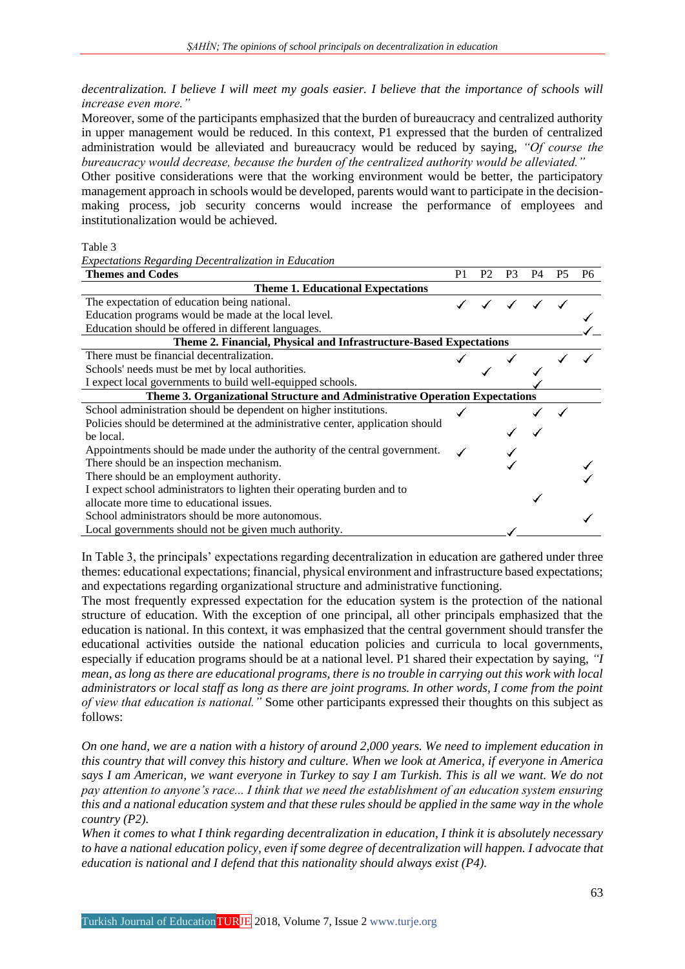*decentralization. I believe I will meet my goals easier. I believe that the importance of schools will increase even more."* 

Moreover, some of the participants emphasized that the burden of bureaucracy and centralized authority in upper management would be reduced. In this context, P1 expressed that the burden of centralized administration would be alleviated and bureaucracy would be reduced by saying, *"Of course the bureaucracy would decrease, because the burden of the centralized authority would be alleviated."*

Other positive considerations were that the working environment would be better, the participatory management approach in schools would be developed, parents would want to participate in the decisionmaking process, job security concerns would increase the performance of employees and institutionalization would be achieved.

#### Table 3

*Expectations Regarding Decentralization in Education*

| <b>Themes and Codes</b>                                                        |  | P <sub>2</sub> | P <sub>3</sub> | P4 | P <sub>6</sub> |
|--------------------------------------------------------------------------------|--|----------------|----------------|----|----------------|
| <b>Theme 1. Educational Expectations</b>                                       |  |                |                |    |                |
| The expectation of education being national.                                   |  |                |                |    |                |
| Education programs would be made at the local level.                           |  |                |                |    |                |
| Education should be offered in different languages.                            |  |                |                |    |                |
| Theme 2. Financial, Physical and Infrastructure-Based Expectations             |  |                |                |    |                |
| There must be financial decentralization.                                      |  |                |                |    |                |
| Schools' needs must be met by local authorities.                               |  |                |                |    |                |
| I expect local governments to build well-equipped schools.                     |  |                |                |    |                |
| Theme 3. Organizational Structure and Administrative Operation Expectations    |  |                |                |    |                |
| School administration should be dependent on higher institutions.              |  |                |                |    |                |
| Policies should be determined at the administrative center, application should |  |                |                |    |                |
| be local.                                                                      |  |                |                |    |                |
| Appointments should be made under the authority of the central government.     |  |                |                |    |                |
| There should be an inspection mechanism.                                       |  |                |                |    |                |
| There should be an employment authority.                                       |  |                |                |    |                |
| I expect school administrators to lighten their operating burden and to        |  |                |                |    |                |
| allocate more time to educational issues.                                      |  |                |                |    |                |
| School administrators should be more autonomous.                               |  |                |                |    |                |
| Local governments should not be given much authority.                          |  |                |                |    |                |

In Table 3, the principals' expectations regarding decentralization in education are gathered under three themes: educational expectations; financial, physical environment and infrastructure based expectations; and expectations regarding organizational structure and administrative functioning.

The most frequently expressed expectation for the education system is the protection of the national structure of education. With the exception of one principal, all other principals emphasized that the education is national. In this context, it was emphasized that the central government should transfer the educational activities outside the national education policies and curricula to local governments, especially if education programs should be at a national level. P1 shared their expectation by saying, *"I mean, as long as there are educational programs, there is no trouble in carrying out this work with local administrators or local staff as long as there are joint programs. In other words, I come from the point of view that education is national."* Some other participants expressed their thoughts on this subject as follows:

*On one hand, we are a nation with a history of around 2,000 years. We need to implement education in this country that will convey this history and culture. When we look at America, if everyone in America says I am American, we want everyone in Turkey to say I am Turkish. This is all we want. We do not pay attention to anyone's race... I think that we need the establishment of an education system ensuring this and a national education system and that these rules should be applied in the same way in the whole country (P2).*

*When it comes to what I think regarding decentralization in education, I think it is absolutely necessary to have a national education policy, even if some degree of decentralization will happen. I advocate that education is national and I defend that this nationality should always exist (P4).*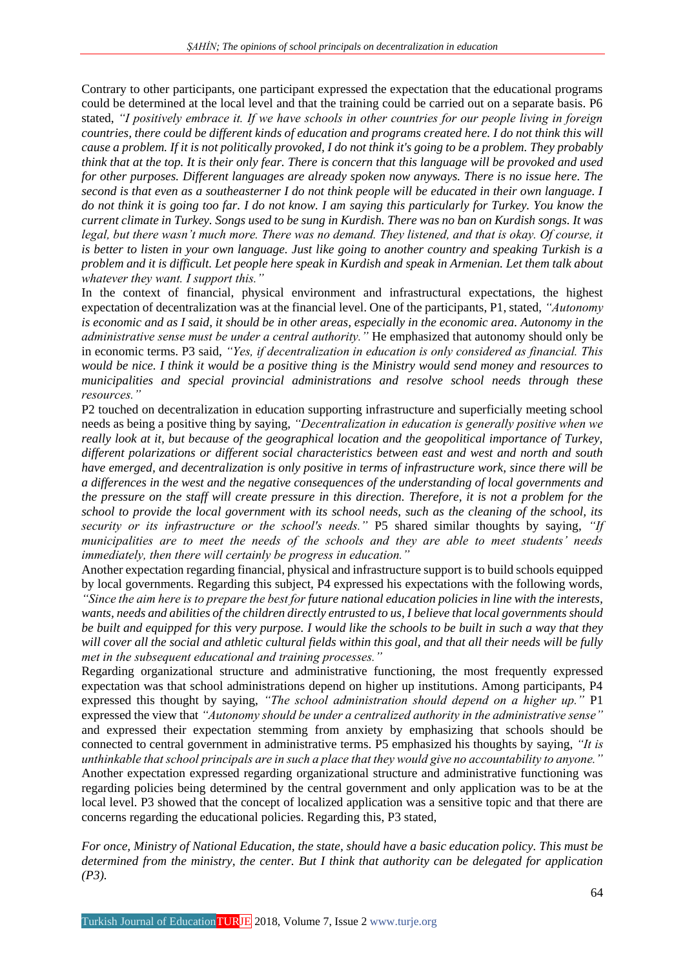Contrary to other participants, one participant expressed the expectation that the educational programs could be determined at the local level and that the training could be carried out on a separate basis. P6 stated, *"I positively embrace it. If we have schools in other countries for our people living in foreign countries, there could be different kinds of education and programs created here. I do not think this will cause a problem. If it is not politically provoked, I do not think it's going to be a problem. They probably think that at the top. It is their only fear. There is concern that this language will be provoked and used for other purposes. Different languages are already spoken now anyways. There is no issue here. The second is that even as a southeasterner I do not think people will be educated in their own language. I do not think it is going too far. I do not know. I am saying this particularly for Turkey. You know the current climate in Turkey. Songs used to be sung in Kurdish. There was no ban on Kurdish songs. It was legal, but there wasn't much more. There was no demand. They listened, and that is okay. Of course, it is better to listen in your own language. Just like going to another country and speaking Turkish is a problem and it is difficult. Let people here speak in Kurdish and speak in Armenian. Let them talk about whatever they want. I support this."*

In the context of financial, physical environment and infrastructural expectations, the highest expectation of decentralization was at the financial level. One of the participants, P1, stated, *"Autonomy is economic and as I said, it should be in other areas, especially in the economic area. Autonomy in the administrative sense must be under a central authority."* He emphasized that autonomy should only be in economic terms. P3 said, *"Yes, if decentralization in education is only considered as financial. This would be nice. I think it would be a positive thing is the Ministry would send money and resources to municipalities and special provincial administrations and resolve school needs through these resources."*

P2 touched on decentralization in education supporting infrastructure and superficially meeting school needs as being a positive thing by saying, *"Decentralization in education is generally positive when we really look at it, but because of the geographical location and the geopolitical importance of Turkey, different polarizations or different social characteristics between east and west and north and south have emerged, and decentralization is only positive in terms of infrastructure work, since there will be a differences in the west and the negative consequences of the understanding of local governments and the pressure on the staff will create pressure in this direction. Therefore, it is not a problem for the school to provide the local government with its school needs, such as the cleaning of the school, its security or its infrastructure or the school's needs."* P5 shared similar thoughts by saying, *"If municipalities are to meet the needs of the schools and they are able to meet students' needs immediately, then there will certainly be progress in education."*

Another expectation regarding financial, physical and infrastructure support is to build schools equipped by local governments. Regarding this subject, P4 expressed his expectations with the following words, *"Since the aim here is to prepare the best for future national education policies in line with the interests, wants, needs and abilities of the children directly entrusted to us, I believe that local governments should be built and equipped for this very purpose. I would like the schools to be built in such a way that they will cover all the social and athletic cultural fields within this goal, and that all their needs will be fully met in the subsequent educational and training processes."*

Regarding organizational structure and administrative functioning, the most frequently expressed expectation was that school administrations depend on higher up institutions. Among participants, P4 expressed this thought by saying, *"The school administration should depend on a higher up."* P1 expressed the view that *"Autonomy should be under a centralized authority in the administrative sense"* and expressed their expectation stemming from anxiety by emphasizing that schools should be connected to central government in administrative terms. P5 emphasized his thoughts by saying, *"It is unthinkable that school principals are in such a place that they would give no accountability to anyone."*

Another expectation expressed regarding organizational structure and administrative functioning was regarding policies being determined by the central government and only application was to be at the local level. P3 showed that the concept of localized application was a sensitive topic and that there are concerns regarding the educational policies. Regarding this, P3 stated,

*For once, Ministry of National Education, the state, should have a basic education policy. This must be determined from the ministry, the center. But I think that authority can be delegated for application (P3).*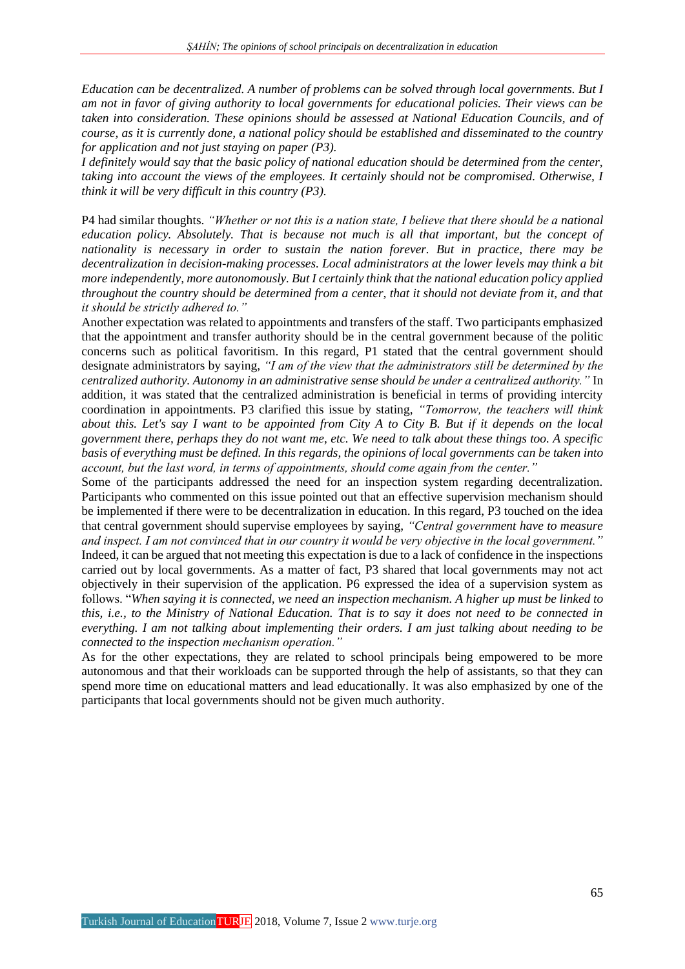*Education can be decentralized. A number of problems can be solved through local governments. But I am not in favor of giving authority to local governments for educational policies. Their views can be taken into consideration. These opinions should be assessed at National Education Councils, and of course, as it is currently done, a national policy should be established and disseminated to the country for application and not just staying on paper (P3).*

*I definitely would say that the basic policy of national education should be determined from the center, taking into account the views of the employees. It certainly should not be compromised. Otherwise, I think it will be very difficult in this country (P3).*

P4 had similar thoughts. *"Whether or not this is a nation state, I believe that there should be a national education policy. Absolutely. That is because not much is all that important, but the concept of nationality is necessary in order to sustain the nation forever. But in practice, there may be decentralization in decision-making processes. Local administrators at the lower levels may think a bit more independently, more autonomously. But I certainly think that the national education policy applied throughout the country should be determined from a center, that it should not deviate from it, and that it should be strictly adhered to."*

Another expectation was related to appointments and transfers of the staff. Two participants emphasized that the appointment and transfer authority should be in the central government because of the politic concerns such as political favoritism. In this regard, P1 stated that the central government should designate administrators by saying, *"I am of the view that the administrators still be determined by the centralized authority. Autonomy in an administrative sense should be under a centralized authority."* In addition, it was stated that the centralized administration is beneficial in terms of providing intercity coordination in appointments. P3 clarified this issue by stating, *"Tomorrow, the teachers will think about this. Let's say I want to be appointed from City A to City B. But if it depends on the local government there, perhaps they do not want me, etc. We need to talk about these things too. A specific basis of everything must be defined. In this regards, the opinions of local governments can be taken into account, but the last word, in terms of appointments, should come again from the center."*

Some of the participants addressed the need for an inspection system regarding decentralization. Participants who commented on this issue pointed out that an effective supervision mechanism should be implemented if there were to be decentralization in education. In this regard, P3 touched on the idea that central government should supervise employees by saying, *"Central government have to measure and inspect. I am not convinced that in our country it would be very objective in the local government."*  Indeed, it can be argued that not meeting this expectation is due to a lack of confidence in the inspections carried out by local governments. As a matter of fact, P3 shared that local governments may not act objectively in their supervision of the application. P6 expressed the idea of a supervision system as follows. "*When saying it is connected, we need an inspection mechanism. A higher up must be linked to this, i.e., to the Ministry of National Education. That is to say it does not need to be connected in everything. I am not talking about implementing their orders. I am just talking about needing to be connected to the inspection mechanism operation."*

As for the other expectations, they are related to school principals being empowered to be more autonomous and that their workloads can be supported through the help of assistants, so that they can spend more time on educational matters and lead educationally. It was also emphasized by one of the participants that local governments should not be given much authority.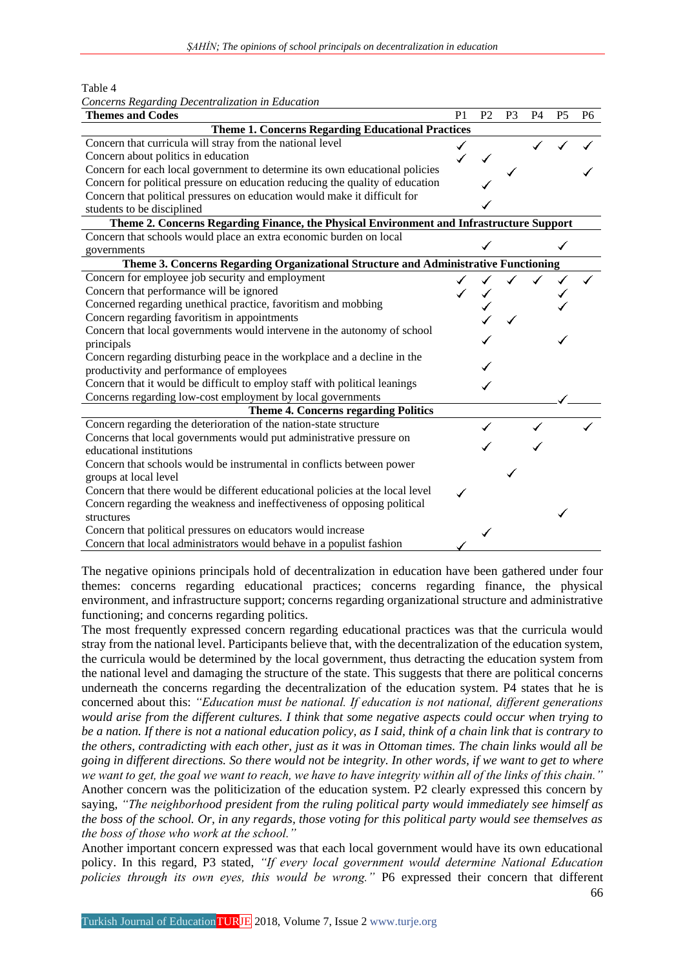Table 4

| Concerns Regarding Decentralization in Education                                         |                |                |                |           |           |    |  |  |
|------------------------------------------------------------------------------------------|----------------|----------------|----------------|-----------|-----------|----|--|--|
| <b>Themes and Codes</b>                                                                  | P <sub>1</sub> | P <sub>2</sub> | P <sub>3</sub> | <b>P4</b> | <b>P5</b> | P6 |  |  |
| <b>Theme 1. Concerns Regarding Educational Practices</b>                                 |                |                |                |           |           |    |  |  |
| Concern that curricula will stray from the national level                                |                |                |                |           |           |    |  |  |
| Concern about politics in education                                                      |                |                |                |           |           |    |  |  |
| Concern for each local government to determine its own educational policies              |                |                |                |           |           |    |  |  |
| Concern for political pressure on education reducing the quality of education            |                |                |                |           |           |    |  |  |
| Concern that political pressures on education would make it difficult for                |                |                |                |           |           |    |  |  |
| students to be disciplined                                                               |                |                |                |           |           |    |  |  |
| Theme 2. Concerns Regarding Finance, the Physical Environment and Infrastructure Support |                |                |                |           |           |    |  |  |
| Concern that schools would place an extra economic burden on local                       |                |                |                |           |           |    |  |  |
| governments                                                                              |                |                |                |           |           |    |  |  |
| Theme 3. Concerns Regarding Organizational Structure and Administrative Functioning      |                |                |                |           |           |    |  |  |
| Concern for employee job security and employment                                         |                |                |                |           |           |    |  |  |
| Concern that performance will be ignored                                                 |                |                |                |           |           |    |  |  |
| Concerned regarding unethical practice, favoritism and mobbing                           |                |                |                |           |           |    |  |  |
| Concern regarding favoritism in appointments                                             |                |                |                |           |           |    |  |  |
| Concern that local governments would intervene in the autonomy of school                 |                |                |                |           |           |    |  |  |
| principals                                                                               |                |                |                |           |           |    |  |  |
| Concern regarding disturbing peace in the workplace and a decline in the                 |                |                |                |           |           |    |  |  |
| productivity and performance of employees                                                |                |                |                |           |           |    |  |  |
| Concern that it would be difficult to employ staff with political leanings               |                |                |                |           |           |    |  |  |
| Concerns regarding low-cost employment by local governments                              |                |                |                |           |           |    |  |  |
| Theme 4. Concerns regarding Politics                                                     |                |                |                |           |           |    |  |  |
| Concern regarding the deterioration of the nation-state structure                        |                |                |                |           |           |    |  |  |
| Concerns that local governments would put administrative pressure on                     |                |                |                |           |           |    |  |  |
| educational institutions                                                                 |                |                |                |           |           |    |  |  |
| Concern that schools would be instrumental in conflicts between power                    |                |                |                |           |           |    |  |  |
| groups at local level                                                                    |                |                |                |           |           |    |  |  |
| Concern that there would be different educational policies at the local level            |                |                |                |           |           |    |  |  |
| Concern regarding the weakness and ineffectiveness of opposing political                 |                |                |                |           |           |    |  |  |
| structures                                                                               |                |                |                |           |           |    |  |  |
| Concern that political pressures on educators would increase                             |                |                |                |           |           |    |  |  |
| Concern that local administrators would behave in a populist fashion                     |                |                |                |           |           |    |  |  |

The negative opinions principals hold of decentralization in education have been gathered under four themes: concerns regarding educational practices; concerns regarding finance, the physical environment, and infrastructure support; concerns regarding organizational structure and administrative functioning; and concerns regarding politics.

The most frequently expressed concern regarding educational practices was that the curricula would stray from the national level. Participants believe that, with the decentralization of the education system, the curricula would be determined by the local government, thus detracting the education system from the national level and damaging the structure of the state. This suggests that there are political concerns underneath the concerns regarding the decentralization of the education system. P4 states that he is concerned about this: *"Education must be national. If education is not national, different generations would arise from the different cultures. I think that some negative aspects could occur when trying to be a nation. If there is not a national education policy, as I said, think of a chain link that is contrary to the others, contradicting with each other, just as it was in Ottoman times. The chain links would all be going in different directions. So there would not be integrity. In other words, if we want to get to where we want to get, the goal we want to reach, we have to have integrity within all of the links of this chain."* Another concern was the politicization of the education system. P2 clearly expressed this concern by saying, *"The neighborhood president from the ruling political party would immediately see himself as the boss of the school. Or, in any regards, those voting for this political party would see themselves as the boss of those who work at the school."*

Another important concern expressed was that each local government would have its own educational policy. In this regard, P3 stated, *"If every local government would determine National Education policies through its own eyes, this would be wrong."* P6 expressed their concern that different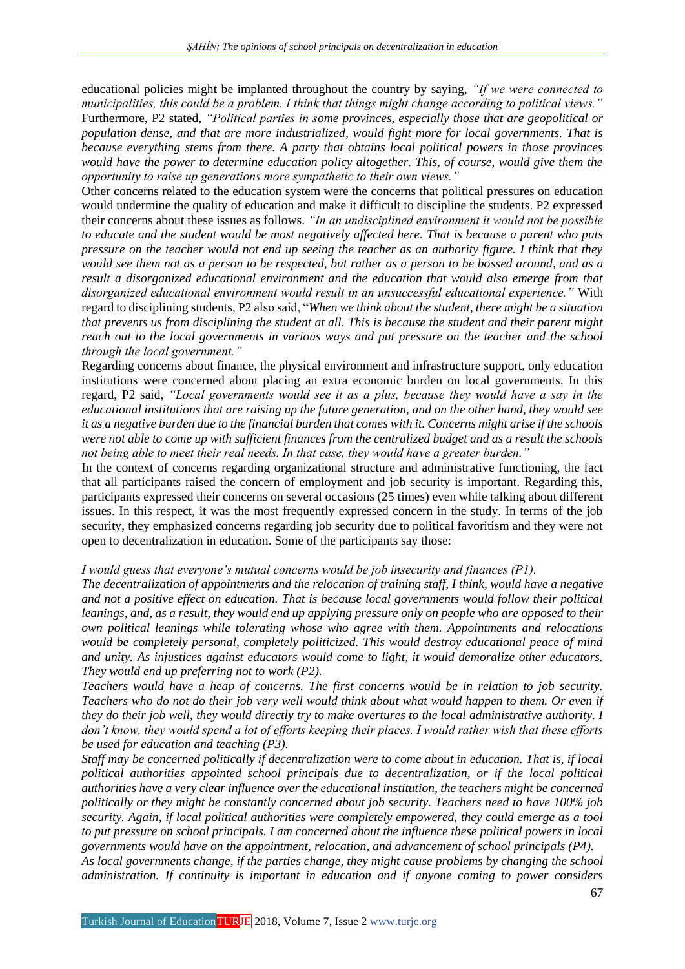educational policies might be implanted throughout the country by saying, *"If we were connected to municipalities, this could be a problem. I think that things might change according to political views."* Furthermore, P2 stated, *"Political parties in some provinces, especially those that are geopolitical or population dense, and that are more industrialized, would fight more for local governments. That is because everything stems from there. A party that obtains local political powers in those provinces would have the power to determine education policy altogether. This, of course, would give them the opportunity to raise up generations more sympathetic to their own views."*

Other concerns related to the education system were the concerns that political pressures on education would undermine the quality of education and make it difficult to discipline the students. P2 expressed their concerns about these issues as follows. *"In an undisciplined environment it would not be possible to educate and the student would be most negatively affected here. That is because a parent who puts pressure on the teacher would not end up seeing the teacher as an authority figure. I think that they would see them not as a person to be respected, but rather as a person to be bossed around, and as a result a disorganized educational environment and the education that would also emerge from that disorganized educational environment would result in an unsuccessful educational experience."* With regard to disciplining students, P2 also said, "*When we think about the student, there might be a situation that prevents us from disciplining the student at all. This is because the student and their parent might reach out to the local governments in various ways and put pressure on the teacher and the school through the local government."*

Regarding concerns about finance, the physical environment and infrastructure support, only education institutions were concerned about placing an extra economic burden on local governments. In this regard, P2 said, *"Local governments would see it as a plus, because they would have a say in the educational institutions that are raising up the future generation, and on the other hand, they would see it as a negative burden due to the financial burden that comes with it. Concerns might arise if the schools were not able to come up with sufficient finances from the centralized budget and as a result the schools not being able to meet their real needs. In that case, they would have a greater burden."*

In the context of concerns regarding organizational structure and administrative functioning, the fact that all participants raised the concern of employment and job security is important. Regarding this, participants expressed their concerns on several occasions (25 times) even while talking about different issues. In this respect, it was the most frequently expressed concern in the study. In terms of the job security, they emphasized concerns regarding job security due to political favoritism and they were not open to decentralization in education. Some of the participants say those:

### *I would guess that everyone's mutual concerns would be job insecurity and finances (P1).*

*The decentralization of appointments and the relocation of training staff, I think, would have a negative and not a positive effect on education. That is because local governments would follow their political leanings, and, as a result, they would end up applying pressure only on people who are opposed to their own political leanings while tolerating whose who agree with them. Appointments and relocations would be completely personal, completely politicized. This would destroy educational peace of mind and unity. As injustices against educators would come to light, it would demoralize other educators. They would end up preferring not to work (P2).*

*Teachers would have a heap of concerns. The first concerns would be in relation to job security. Teachers who do not do their job very well would think about what would happen to them. Or even if they do their job well, they would directly try to make overtures to the local administrative authority. I don't know, they would spend a lot of efforts keeping their places. I would rather wish that these efforts be used for education and teaching (P3).*

*Staff may be concerned politically if decentralization were to come about in education. That is, if local political authorities appointed school principals due to decentralization, or if the local political authorities have a very clear influence over the educational institution, the teachers might be concerned politically or they might be constantly concerned about job security. Teachers need to have 100% job security. Again, if local political authorities were completely empowered, they could emerge as a tool to put pressure on school principals. I am concerned about the influence these political powers in local governments would have on the appointment, relocation, and advancement of school principals (P4).*

*As local governments change, if the parties change, they might cause problems by changing the school administration. If continuity is important in education and if anyone coming to power considers*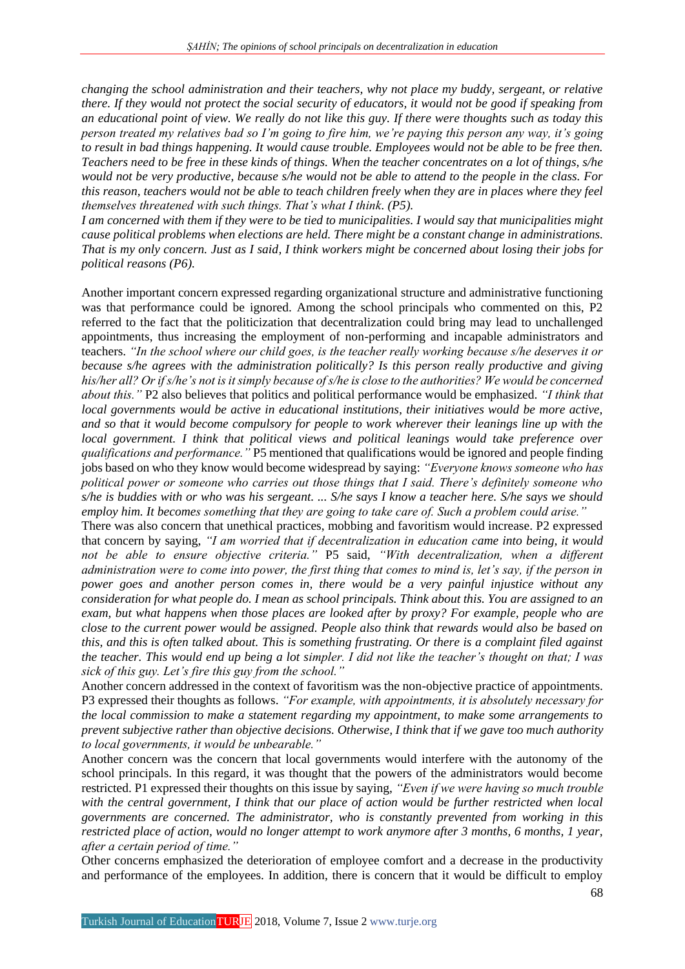*changing the school administration and their teachers, why not place my buddy, sergeant, or relative there. If they would not protect the social security of educators, it would not be good if speaking from an educational point of view. We really do not like this guy. If there were thoughts such as today this person treated my relatives bad so I'm going to fire him, we're paying this person any way, it's going to result in bad things happening. It would cause trouble. Employees would not be able to be free then. Teachers need to be free in these kinds of things. When the teacher concentrates on a lot of things, s/he would not be very productive, because s/he would not be able to attend to the people in the class. For this reason, teachers would not be able to teach children freely when they are in places where they feel themselves threatened with such things. That's what I think. (P5).*

*I am concerned with them if they were to be tied to municipalities. I would say that municipalities might cause political problems when elections are held. There might be a constant change in administrations. That is my only concern. Just as I said, I think workers might be concerned about losing their jobs for political reasons (P6).*

Another important concern expressed regarding organizational structure and administrative functioning was that performance could be ignored. Among the school principals who commented on this, P2 referred to the fact that the politicization that decentralization could bring may lead to unchallenged appointments, thus increasing the employment of non-performing and incapable administrators and teachers. *"In the school where our child goes, is the teacher really working because s/he deserves it or because s/he agrees with the administration politically? Is this person really productive and giving his/her all? Or if s/he's not is it simply because of s/he is close to the authorities? We would be concerned about this."* P2 also believes that politics and political performance would be emphasized. *"I think that local governments would be active in educational institutions, their initiatives would be more active, and so that it would become compulsory for people to work wherever their leanings line up with the local government. I think that political views and political leanings would take preference over qualifications and performance."* P5 mentioned that qualifications would be ignored and people finding jobs based on who they know would become widespread by saying: *"Everyone knows someone who has political power or someone who carries out those things that I said. There's definitely someone who s/he is buddies with or who was his sergeant. ... S/he says I know a teacher here. S/he says we should employ him. It becomes something that they are going to take care of. Such a problem could arise."*

There was also concern that unethical practices, mobbing and favoritism would increase. P2 expressed that concern by saying, *"I am worried that if decentralization in education came into being, it would not be able to ensure objective criteria."* P5 said, *"With decentralization, when a different administration were to come into power, the first thing that comes to mind is, let's say, if the person in power goes and another person comes in, there would be a very painful injustice without any consideration for what people do. I mean as school principals. Think about this. You are assigned to an exam, but what happens when those places are looked after by proxy? For example, people who are close to the current power would be assigned. People also think that rewards would also be based on this, and this is often talked about. This is something frustrating. Or there is a complaint filed against the teacher. This would end up being a lot simpler. I did not like the teacher's thought on that; I was sick of this guy. Let's fire this guy from the school."*

Another concern addressed in the context of favoritism was the non-objective practice of appointments. P3 expressed their thoughts as follows. *"For example, with appointments, it is absolutely necessary for the local commission to make a statement regarding my appointment, to make some arrangements to prevent subjective rather than objective decisions. Otherwise, I think that if we gave too much authority to local governments, it would be unbearable."*

Another concern was the concern that local governments would interfere with the autonomy of the school principals. In this regard, it was thought that the powers of the administrators would become restricted. P1 expressed their thoughts on this issue by saying, *"Even if we were having so much trouble with the central government, I think that our place of action would be further restricted when local governments are concerned. The administrator, who is constantly prevented from working in this restricted place of action, would no longer attempt to work anymore after 3 months, 6 months, 1 year, after a certain period of time."*

Other concerns emphasized the deterioration of employee comfort and a decrease in the productivity and performance of the employees. In addition, there is concern that it would be difficult to employ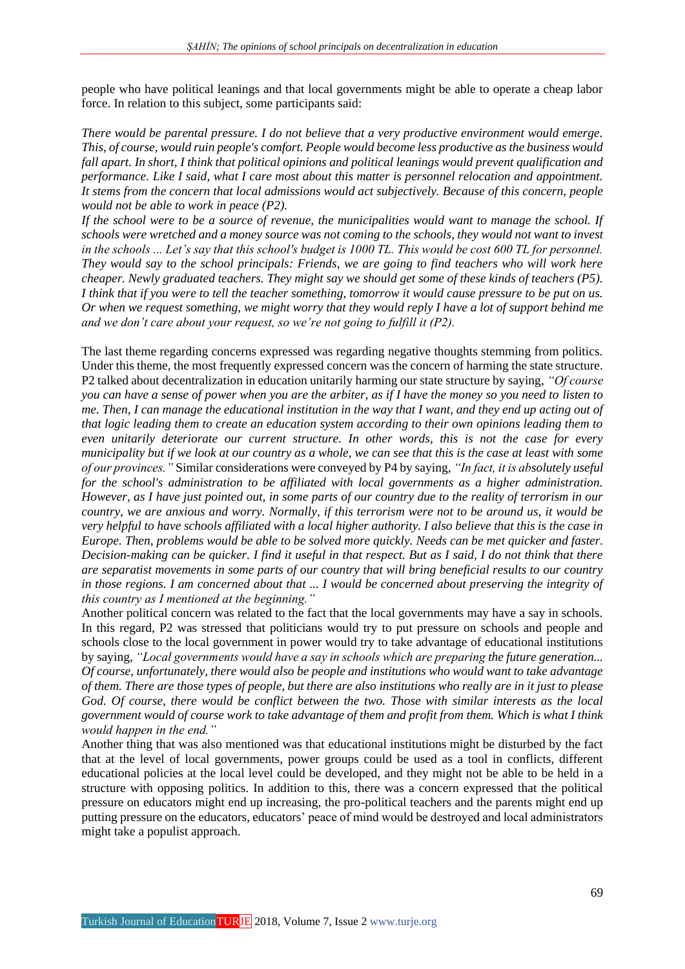people who have political leanings and that local governments might be able to operate a cheap labor force. In relation to this subject, some participants said:

*There would be parental pressure. I do not believe that a very productive environment would emerge. This, of course, would ruin people's comfort. People would become less productive as the business would fall apart. In short, I think that political opinions and political leanings would prevent qualification and performance. Like I said, what I care most about this matter is personnel relocation and appointment. It stems from the concern that local admissions would act subjectively. Because of this concern, people would not be able to work in peace (P2).*

*If the school were to be a source of revenue, the municipalities would want to manage the school. If schools were wretched and a money source was not coming to the schools, they would not want to invest in the schools ... Let's say that this school's budget is 1000 TL. This would be cost 600 TL for personnel. They would say to the school principals: Friends, we are going to find teachers who will work here cheaper. Newly graduated teachers. They might say we should get some of these kinds of teachers (P5). I think that if you were to tell the teacher something, tomorrow it would cause pressure to be put on us. Or when we request something, we might worry that they would reply I have a lot of support behind me and we don't care about your request, so we're not going to fulfill it (P2).*

The last theme regarding concerns expressed was regarding negative thoughts stemming from politics. Under this theme, the most frequently expressed concern was the concern of harming the state structure. P2 talked about decentralization in education unitarily harming our state structure by saying, *"Of course you can have a sense of power when you are the arbiter, as if I have the money so you need to listen to me. Then, I can manage the educational institution in the way that I want, and they end up acting out of that logic leading them to create an education system according to their own opinions leading them to even unitarily deteriorate our current structure. In other words, this is not the case for every municipality but if we look at our country as a whole, we can see that this is the case at least with some of our provinces."* Similar considerations were conveyed by P4 by saying, *"In fact, it is absolutely useful for the school's administration to be affiliated with local governments as a higher administration. However, as I have just pointed out, in some parts of our country due to the reality of terrorism in our country, we are anxious and worry. Normally, if this terrorism were not to be around us, it would be very helpful to have schools affiliated with a local higher authority. I also believe that this is the case in Europe. Then, problems would be able to be solved more quickly. Needs can be met quicker and faster. Decision-making can be quicker. I find it useful in that respect. But as I said, I do not think that there are separatist movements in some parts of our country that will bring beneficial results to our country in those regions. I am concerned about that ... I would be concerned about preserving the integrity of this country as I mentioned at the beginning."*

Another political concern was related to the fact that the local governments may have a say in schools. In this regard, P2 was stressed that politicians would try to put pressure on schools and people and schools close to the local government in power would try to take advantage of educational institutions by saying, *"Local governments would have a say in schools which are preparing the future generation... Of course, unfortunately, there would also be people and institutions who would want to take advantage of them. There are those types of people, but there are also institutions who really are in it just to please God. Of course, there would be conflict between the two. Those with similar interests as the local government would of course work to take advantage of them and profit from them. Which is what I think would happen in the end."*

Another thing that was also mentioned was that educational institutions might be disturbed by the fact that at the level of local governments, power groups could be used as a tool in conflicts, different educational policies at the local level could be developed, and they might not be able to be held in a structure with opposing politics. In addition to this, there was a concern expressed that the political pressure on educators might end up increasing, the pro-political teachers and the parents might end up putting pressure on the educators, educators' peace of mind would be destroyed and local administrators might take a populist approach.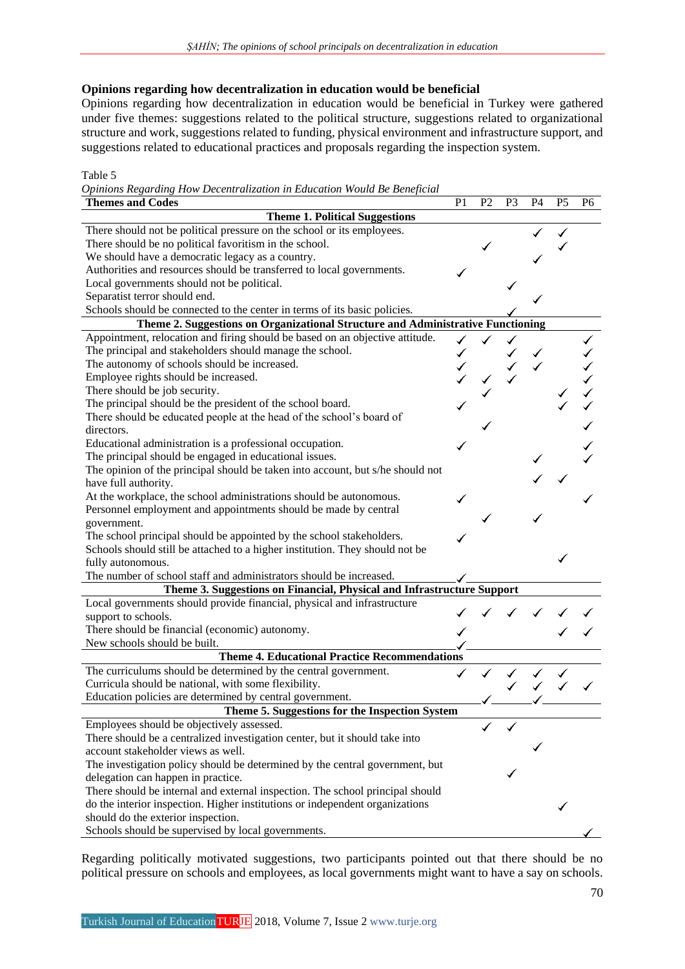## **Opinions regarding how decentralization in education would be beneficial**

Opinions regarding how decentralization in education would be beneficial in Turkey were gathered under five themes: suggestions related to the political structure, suggestions related to organizational structure and work, suggestions related to funding, physical environment and infrastructure support, and suggestions related to educational practices and proposals regarding the inspection system.

Table 5

*Opinions Regarding How Decentralization in Education Would Be Beneficial*

| <b>Themes and Codes</b>                                                         | P <sub>1</sub> | P <sub>2</sub> | P <sub>3</sub> | <b>P4</b> | P <sub>5</sub> | P <sub>6</sub> |
|---------------------------------------------------------------------------------|----------------|----------------|----------------|-----------|----------------|----------------|
| <b>Theme 1. Political Suggestions</b>                                           |                |                |                |           |                |                |
| There should not be political pressure on the school or its employees.          |                |                |                |           |                |                |
| There should be no political favoritism in the school.                          |                |                |                |           |                |                |
| We should have a democratic legacy as a country.                                |                |                |                |           |                |                |
| Authorities and resources should be transferred to local governments.           |                |                |                |           |                |                |
| Local governments should not be political.                                      |                |                |                |           |                |                |
| Separatist terror should end.                                                   |                |                |                |           |                |                |
| Schools should be connected to the center in terms of its basic policies.       |                |                |                |           |                |                |
| Theme 2. Suggestions on Organizational Structure and Administrative Functioning |                |                |                |           |                |                |
| Appointment, relocation and firing should be based on an objective attitude.    |                |                |                |           |                |                |
| The principal and stakeholders should manage the school.                        |                |                |                |           |                |                |
| The autonomy of schools should be increased.                                    |                |                |                |           |                |                |
| Employee rights should be increased.                                            |                |                |                |           |                |                |
| There should be job security.                                                   |                |                |                |           |                |                |
| The principal should be the president of the school board.                      |                |                |                |           |                |                |
| There should be educated people at the head of the school's board of            |                |                |                |           |                |                |
| directors.                                                                      |                |                |                |           |                |                |
| Educational administration is a professional occupation.                        |                |                |                |           |                |                |
| The principal should be engaged in educational issues.                          |                |                |                |           |                |                |
|                                                                                 |                |                |                |           |                |                |
| The opinion of the principal should be taken into account, but s/he should not  |                |                |                |           |                |                |
| have full authority.                                                            |                |                |                |           |                |                |
| At the workplace, the school administrations should be autonomous.              |                |                |                |           |                |                |
| Personnel employment and appointments should be made by central                 |                |                |                |           |                |                |
| government.                                                                     |                |                |                |           |                |                |
| The school principal should be appointed by the school stakeholders.            |                |                |                |           |                |                |
| Schools should still be attached to a higher institution. They should not be    |                |                |                |           |                |                |
| fully autonomous.                                                               |                |                |                |           |                |                |
| The number of school staff and administrators should be increased.              |                |                |                |           |                |                |
| Theme 3. Suggestions on Financial, Physical and Infrastructure Support          |                |                |                |           |                |                |
| Local governments should provide financial, physical and infrastructure         |                |                |                |           |                |                |
| support to schools.                                                             |                |                |                |           |                |                |
| There should be financial (economic) autonomy.                                  |                |                |                |           |                |                |
| New schools should be built.                                                    |                |                |                |           |                |                |
| <b>Theme 4. Educational Practice Recommendations</b>                            |                |                |                |           |                |                |
| The curriculums should be determined by the central government.                 |                |                |                |           |                |                |
| Curricula should be national, with some flexibility.                            |                |                |                |           |                |                |
| Education policies are determined by central government.                        |                |                |                |           |                |                |
| Theme 5. Suggestions for the Inspection System                                  |                |                |                |           |                |                |
| Employees should be objectively assessed.                                       |                |                |                |           |                |                |
| There should be a centralized investigation center, but it should take into     |                |                |                |           |                |                |
| account stakeholder views as well.                                              |                |                |                |           |                |                |
| The investigation policy should be determined by the central government, but    |                |                |                |           |                |                |
| delegation can happen in practice.                                              |                |                |                |           |                |                |
| There should be internal and external inspection. The school principal should   |                |                |                |           |                |                |
| do the interior inspection. Higher institutions or independent organizations    |                |                |                |           |                |                |
| should do the exterior inspection.                                              |                |                |                |           |                |                |
| Schools should be supervised by local governments.                              |                |                |                |           |                |                |
|                                                                                 |                |                |                |           |                |                |

Regarding politically motivated suggestions, two participants pointed out that there should be no political pressure on schools and employees, as local governments might want to have a say on schools.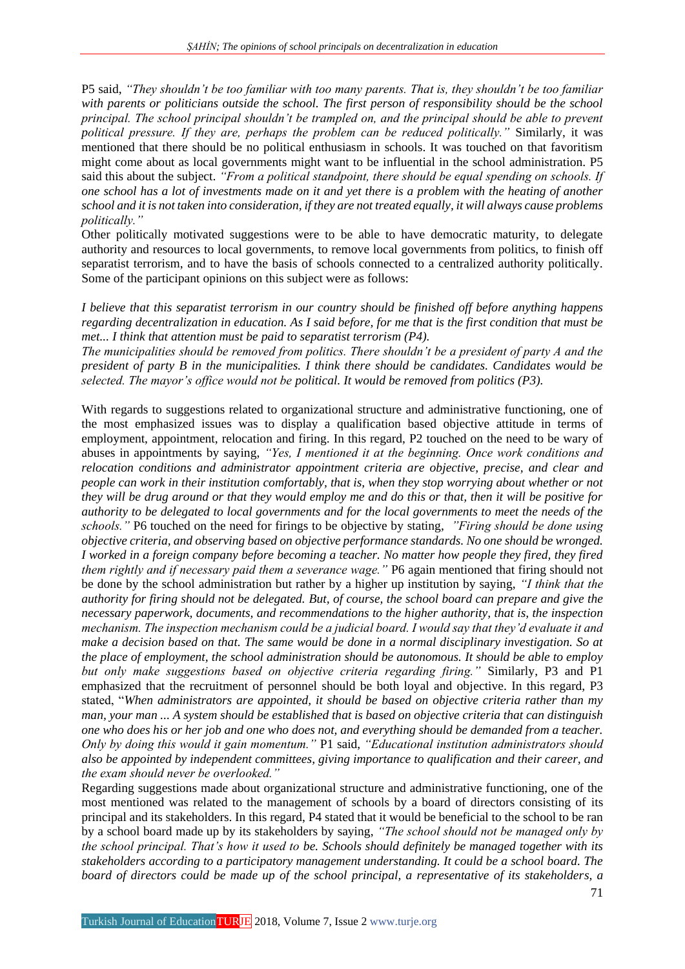P5 said, *"They shouldn't be too familiar with too many parents. That is, they shouldn't be too familiar with parents or politicians outside the school. The first person of responsibility should be the school principal. The school principal shouldn't be trampled on, and the principal should be able to prevent political pressure. If they are, perhaps the problem can be reduced politically."* Similarly, it was mentioned that there should be no political enthusiasm in schools. It was touched on that favoritism might come about as local governments might want to be influential in the school administration. P5 said this about the subject. *"From a political standpoint, there should be equal spending on schools. If one school has a lot of investments made on it and yet there is a problem with the heating of another school and it is not taken into consideration, if they are not treated equally, it will always cause problems politically."*

Other politically motivated suggestions were to be able to have democratic maturity, to delegate authority and resources to local governments, to remove local governments from politics, to finish off separatist terrorism, and to have the basis of schools connected to a centralized authority politically. Some of the participant opinions on this subject were as follows:

*I believe that this separatist terrorism in our country should be finished off before anything happens regarding decentralization in education. As I said before, for me that is the first condition that must be met... I think that attention must be paid to separatist terrorism (P4).*

*The municipalities should be removed from politics. There shouldn't be a president of party A and the president of party B in the municipalities. I think there should be candidates. Candidates would be selected. The mayor's office would not be political. It would be removed from politics (P3).*

With regards to suggestions related to organizational structure and administrative functioning, one of the most emphasized issues was to display a qualification based objective attitude in terms of employment, appointment, relocation and firing. In this regard, P2 touched on the need to be wary of abuses in appointments by saying, *"Yes, I mentioned it at the beginning. Once work conditions and relocation conditions and administrator appointment criteria are objective, precise, and clear and people can work in their institution comfortably, that is, when they stop worrying about whether or not they will be drug around or that they would employ me and do this or that, then it will be positive for authority to be delegated to local governments and for the local governments to meet the needs of the schools."* P6 touched on the need for firings to be objective by stating, *"Firing should be done using objective criteria, and observing based on objective performance standards. No one should be wronged. I* worked in a foreign company before becoming a teacher. No matter how people they fired, they fired *them rightly and if necessary paid them a severance wage."* P6 again mentioned that firing should not be done by the school administration but rather by a higher up institution by saying, *"I think that the authority for firing should not be delegated. But, of course, the school board can prepare and give the necessary paperwork, documents, and recommendations to the higher authority, that is, the inspection mechanism. The inspection mechanism could be a judicial board. I would say that they'd evaluate it and make a decision based on that. The same would be done in a normal disciplinary investigation. So at the place of employment, the school administration should be autonomous. It should be able to employ but only make suggestions based on objective criteria regarding firing."* Similarly, P3 and P1 emphasized that the recruitment of personnel should be both loyal and objective. In this regard, P3 stated, "*When administrators are appointed, it should be based on objective criteria rather than my man, your man ... A system should be established that is based on objective criteria that can distinguish one who does his or her job and one who does not, and everything should be demanded from a teacher. Only by doing this would it gain momentum."* P1 said, *"Educational institution administrators should also be appointed by independent committees, giving importance to qualification and their career, and the exam should never be overlooked."*

Regarding suggestions made about organizational structure and administrative functioning, one of the most mentioned was related to the management of schools by a board of directors consisting of its principal and its stakeholders. In this regard, P4 stated that it would be beneficial to the school to be ran by a school board made up by its stakeholders by saying, *"The school should not be managed only by the school principal. That's how it used to be. Schools should definitely be managed together with its stakeholders according to a participatory management understanding. It could be a school board. The board of directors could be made up of the school principal, a representative of its stakeholders, a*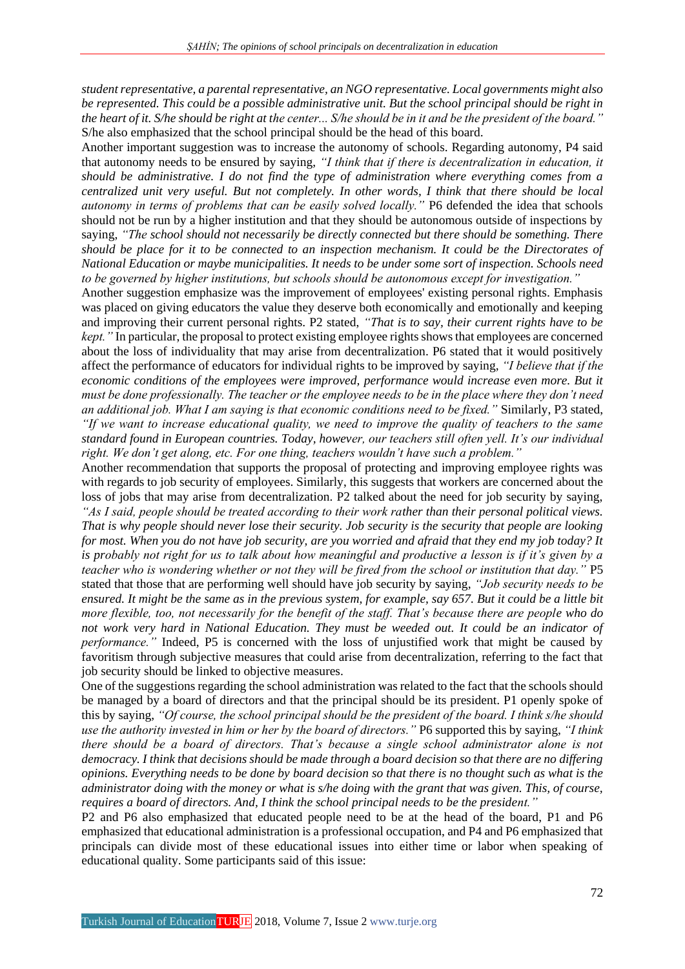*student representative, a parental representative, an NGO representative. Local governments might also be represented. This could be a possible administrative unit. But the school principal should be right in the heart of it. S/he should be right at the center... S/he should be in it and be the president of the board."* S/he also emphasized that the school principal should be the head of this board.

Another important suggestion was to increase the autonomy of schools. Regarding autonomy, P4 said that autonomy needs to be ensured by saying, *"I think that if there is decentralization in education, it should be administrative. I do not find the type of administration where everything comes from a centralized unit very useful. But not completely. In other words, I think that there should be local autonomy in terms of problems that can be easily solved locally."* P6 defended the idea that schools should not be run by a higher institution and that they should be autonomous outside of inspections by saying, *"The school should not necessarily be directly connected but there should be something. There should be place for it to be connected to an inspection mechanism. It could be the Directorates of National Education or maybe municipalities. It needs to be under some sort of inspection. Schools need to be governed by higher institutions, but schools should be autonomous except for investigation."*

Another suggestion emphasize was the improvement of employees' existing personal rights. Emphasis was placed on giving educators the value they deserve both economically and emotionally and keeping and improving their current personal rights. P2 stated, *"That is to say, their current rights have to be kept.*" In particular, the proposal to protect existing employee rights shows that employees are concerned about the loss of individuality that may arise from decentralization. P6 stated that it would positively affect the performance of educators for individual rights to be improved by saying, *"I believe that if the economic conditions of the employees were improved, performance would increase even more. But it must be done professionally. The teacher or the employee needs to be in the place where they don't need an additional job. What I am saying is that economic conditions need to be fixed."* Similarly, P3 stated, *"If we want to increase educational quality, we need to improve the quality of teachers to the same standard found in European countries. Today, however, our teachers still often yell. It's our individual right. We don't get along, etc. For one thing, teachers wouldn't have such a problem."*

Another recommendation that supports the proposal of protecting and improving employee rights was with regards to job security of employees. Similarly, this suggests that workers are concerned about the loss of jobs that may arise from decentralization. P2 talked about the need for job security by saying, *"As I said, people should be treated according to their work rather than their personal political views. That is why people should never lose their security. Job security is the security that people are looking for most. When you do not have job security, are you worried and afraid that they end my job today? It is probably not right for us to talk about how meaningful and productive a lesson is if it's given by a teacher who is wondering whether or not they will be fired from the school or institution that day."* P5 stated that those that are performing well should have job security by saying, *"Job security needs to be ensured. It might be the same as in the previous system, for example, say 657. But it could be a little bit more flexible, too, not necessarily for the benefit of the staff. That's because there are people who do not work very hard in National Education. They must be weeded out. It could be an indicator of performance."* Indeed, P5 is concerned with the loss of unjustified work that might be caused by favoritism through subjective measures that could arise from decentralization, referring to the fact that job security should be linked to objective measures.

One of the suggestions regarding the school administration was related to the fact that the schools should be managed by a board of directors and that the principal should be its president. P1 openly spoke of this by saying, *"Of course, the school principal should be the president of the board. I think s/he should use the authority invested in him or her by the board of directors."* P6 supported this by saying, *"I think there should be a board of directors. That's because a single school administrator alone is not democracy. I think that decisions should be made through a board decision so that there are no differing opinions. Everything needs to be done by board decision so that there is no thought such as what is the administrator doing with the money or what is s/he doing with the grant that was given. This, of course, requires a board of directors. And, I think the school principal needs to be the president."*

P2 and P6 also emphasized that educated people need to be at the head of the board, P1 and P6 emphasized that educational administration is a professional occupation, and P4 and P6 emphasized that principals can divide most of these educational issues into either time or labor when speaking of educational quality. Some participants said of this issue: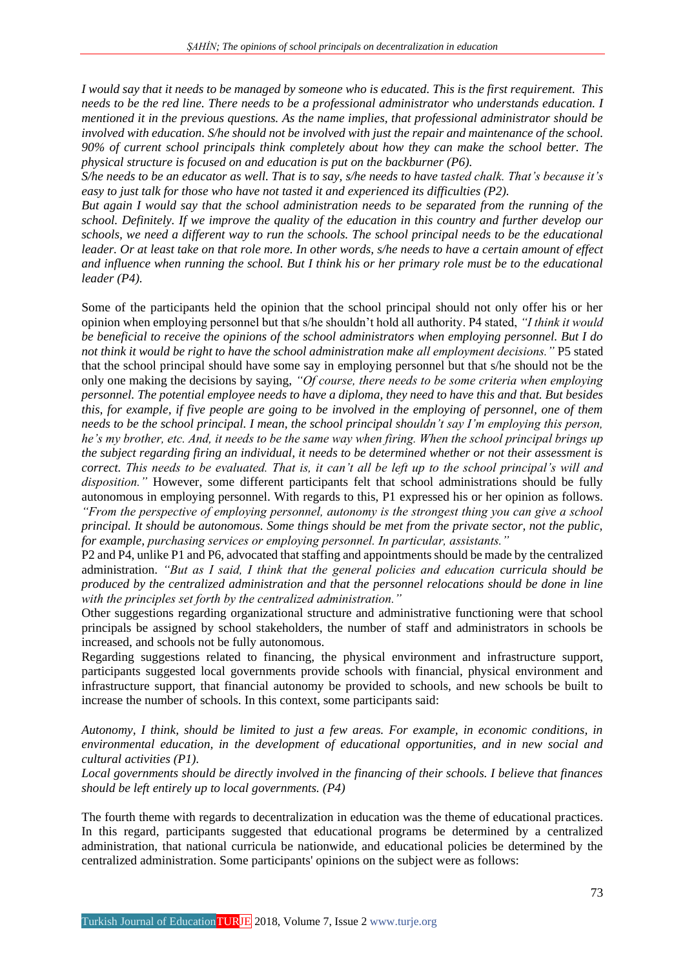*I would say that it needs to be managed by someone who is educated. This is the first requirement. This needs to be the red line. There needs to be a professional administrator who understands education. I mentioned it in the previous questions. As the name implies, that professional administrator should be involved with education. S/he should not be involved with just the repair and maintenance of the school. 90% of current school principals think completely about how they can make the school better. The physical structure is focused on and education is put on the backburner (P6).*

*S/he needs to be an educator as well. That is to say, s/he needs to have tasted chalk. That's because it's easy to just talk for those who have not tasted it and experienced its difficulties (P2).*

*But again I would say that the school administration needs to be separated from the running of the school. Definitely. If we improve the quality of the education in this country and further develop our schools, we need a different way to run the schools. The school principal needs to be the educational leader. Or at least take on that role more. In other words, s/he needs to have a certain amount of effect and influence when running the school. But I think his or her primary role must be to the educational leader (P4).*

Some of the participants held the opinion that the school principal should not only offer his or her opinion when employing personnel but that s/he shouldn't hold all authority. P4 stated, *"I think it would be beneficial to receive the opinions of the school administrators when employing personnel. But I do not think it would be right to have the school administration make all employment decisions."* P5 stated that the school principal should have some say in employing personnel but that s/he should not be the only one making the decisions by saying, *"Of course, there needs to be some criteria when employing personnel. The potential employee needs to have a diploma, they need to have this and that. But besides this, for example, if five people are going to be involved in the employing of personnel, one of them needs to be the school principal. I mean, the school principal shouldn't say I'm employing this person, he's my brother, etc. And, it needs to be the same way when firing. When the school principal brings up the subject regarding firing an individual, it needs to be determined whether or not their assessment is correct. This needs to be evaluated. That is, it can't all be left up to the school principal's will and disposition."* However, some different participants felt that school administrations should be fully autonomous in employing personnel. With regards to this, P1 expressed his or her opinion as follows. *"From the perspective of employing personnel, autonomy is the strongest thing you can give a school principal. It should be autonomous. Some things should be met from the private sector, not the public, for example, purchasing services or employing personnel. In particular, assistants."*

P2 and P4, unlike P1 and P6, advocated that staffing and appointments should be made by the centralized administration. *"But as I said, I think that the general policies and education curricula should be produced by the centralized administration and that the personnel relocations should be done in line with the principles set forth by the centralized administration."*

Other suggestions regarding organizational structure and administrative functioning were that school principals be assigned by school stakeholders, the number of staff and administrators in schools be increased, and schools not be fully autonomous.

Regarding suggestions related to financing, the physical environment and infrastructure support, participants suggested local governments provide schools with financial, physical environment and infrastructure support, that financial autonomy be provided to schools, and new schools be built to increase the number of schools. In this context, some participants said:

*Autonomy, I think, should be limited to just a few areas. For example, in economic conditions, in environmental education, in the development of educational opportunities, and in new social and cultural activities (P1).*

*Local governments should be directly involved in the financing of their schools. I believe that finances should be left entirely up to local governments. (P4)*

The fourth theme with regards to decentralization in education was the theme of educational practices. In this regard, participants suggested that educational programs be determined by a centralized administration, that national curricula be nationwide, and educational policies be determined by the centralized administration. Some participants' opinions on the subject were as follows: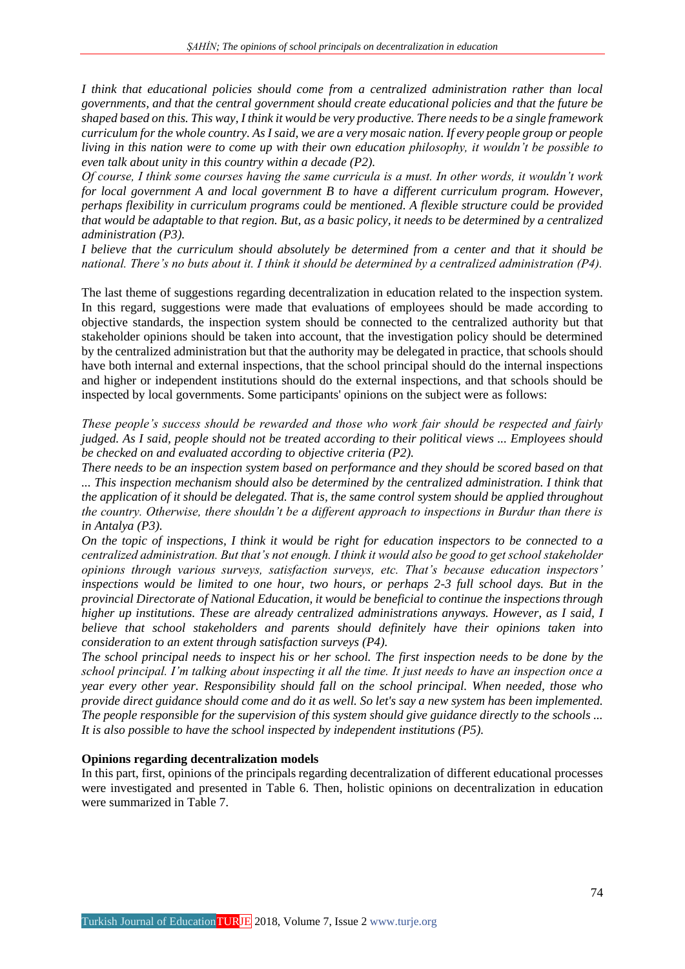*I think that educational policies should come from a centralized administration rather than local governments, and that the central government should create educational policies and that the future be shaped based on this. This way, I think it would be very productive. There needs to be a single framework curriculum for the whole country. As I said, we are a very mosaic nation. If every people group or people living in this nation were to come up with their own education philosophy, it wouldn't be possible to even talk about unity in this country within a decade (P2).*

*Of course, I think some courses having the same curricula is a must. In other words, it wouldn't work for local government A and local government B to have a different curriculum program. However, perhaps flexibility in curriculum programs could be mentioned. A flexible structure could be provided that would be adaptable to that region. But, as a basic policy, it needs to be determined by a centralized administration (P3).*

*I believe that the curriculum should absolutely be determined from a center and that it should be national. There's no buts about it. I think it should be determined by a centralized administration (P4).*

The last theme of suggestions regarding decentralization in education related to the inspection system. In this regard, suggestions were made that evaluations of employees should be made according to objective standards, the inspection system should be connected to the centralized authority but that stakeholder opinions should be taken into account, that the investigation policy should be determined by the centralized administration but that the authority may be delegated in practice, that schools should have both internal and external inspections, that the school principal should do the internal inspections and higher or independent institutions should do the external inspections, and that schools should be inspected by local governments. Some participants' opinions on the subject were as follows:

*These people's success should be rewarded and those who work fair should be respected and fairly judged. As I said, people should not be treated according to their political views ... Employees should be checked on and evaluated according to objective criteria (P2).*

*There needs to be an inspection system based on performance and they should be scored based on that ... This inspection mechanism should also be determined by the centralized administration. I think that the application of it should be delegated. That is, the same control system should be applied throughout the country. Otherwise, there shouldn't be a different approach to inspections in Burdur than there is in Antalya (P3).*

*On the topic of inspections, I think it would be right for education inspectors to be connected to a centralized administration. But that's not enough. I think it would also be good to get school stakeholder opinions through various surveys, satisfaction surveys, etc. That's because education inspectors' inspections would be limited to one hour, two hours, or perhaps 2-3 full school days. But in the provincial Directorate of National Education, it would be beneficial to continue the inspections through higher up institutions. These are already centralized administrations anyways. However, as I said, I believe that school stakeholders and parents should definitely have their opinions taken into consideration to an extent through satisfaction surveys (P4).*

*The school principal needs to inspect his or her school. The first inspection needs to be done by the school principal. I'm talking about inspecting it all the time. It just needs to have an inspection once a year every other year. Responsibility should fall on the school principal. When needed, those who provide direct guidance should come and do it as well. So let's say a new system has been implemented. The people responsible for the supervision of this system should give guidance directly to the schools ... It is also possible to have the school inspected by independent institutions (P5).*

### **Opinions regarding decentralization models**

In this part, first, opinions of the principals regarding decentralization of different educational processes were investigated and presented in Table 6. Then, holistic opinions on decentralization in education were summarized in Table 7.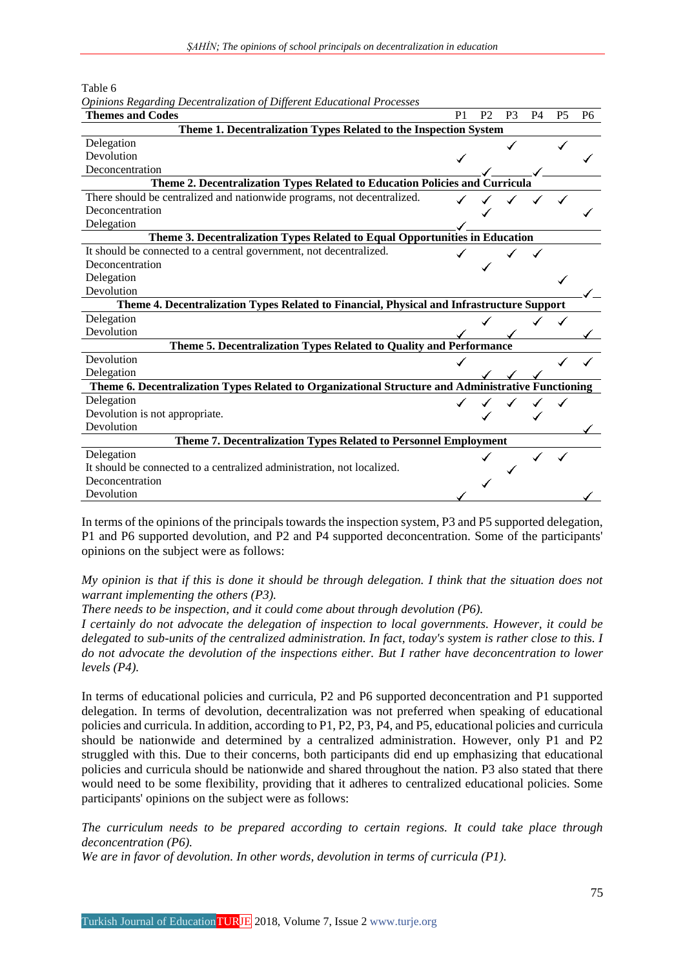Table 6

| <b>Themes and Codes</b>                                                                            | P <sub>1</sub> | P <sub>2</sub> | P <sub>3</sub> | P <sub>4</sub> | P <sub>5</sub> | P <sub>6</sub> |  |  |  |  |
|----------------------------------------------------------------------------------------------------|----------------|----------------|----------------|----------------|----------------|----------------|--|--|--|--|
| Theme 1. Decentralization Types Related to the Inspection System                                   |                |                |                |                |                |                |  |  |  |  |
| Delegation                                                                                         |                |                |                |                |                |                |  |  |  |  |
| Devolution                                                                                         |                |                |                |                |                |                |  |  |  |  |
| Deconcentration                                                                                    |                |                |                |                |                |                |  |  |  |  |
| Theme 2. Decentralization Types Related to Education Policies and Curricula                        |                |                |                |                |                |                |  |  |  |  |
| There should be centralized and nationwide programs, not decentralized.                            |                |                |                |                |                |                |  |  |  |  |
| Deconcentration                                                                                    |                |                |                |                |                |                |  |  |  |  |
| Delegation                                                                                         |                |                |                |                |                |                |  |  |  |  |
| Theme 3. Decentralization Types Related to Equal Opportunities in Education                        |                |                |                |                |                |                |  |  |  |  |
| It should be connected to a central government, not decentralized.                                 |                |                |                |                |                |                |  |  |  |  |
| Deconcentration                                                                                    |                |                |                |                |                |                |  |  |  |  |
| Delegation                                                                                         |                |                |                |                |                |                |  |  |  |  |
| Devolution                                                                                         |                |                |                |                |                |                |  |  |  |  |
| Theme 4. Decentralization Types Related to Financial, Physical and Infrastructure Support          |                |                |                |                |                |                |  |  |  |  |
| Delegation                                                                                         |                |                |                |                |                |                |  |  |  |  |
| Devolution                                                                                         |                |                |                |                |                |                |  |  |  |  |
| Theme 5. Decentralization Types Related to Quality and Performance                                 |                |                |                |                |                |                |  |  |  |  |
| Devolution                                                                                         |                |                |                |                |                |                |  |  |  |  |
| Delegation                                                                                         |                |                |                |                |                |                |  |  |  |  |
| Theme 6. Decentralization Types Related to Organizational Structure and Administrative Functioning |                |                |                |                |                |                |  |  |  |  |
| Delegation                                                                                         |                |                |                |                |                |                |  |  |  |  |
| Devolution is not appropriate.                                                                     |                |                |                |                |                |                |  |  |  |  |
| Devolution                                                                                         |                |                |                |                |                |                |  |  |  |  |
| Theme 7. Decentralization Types Related to Personnel Employment                                    |                |                |                |                |                |                |  |  |  |  |
| Delegation                                                                                         |                |                |                |                |                |                |  |  |  |  |
| It should be connected to a centralized administration, not localized.                             |                |                |                |                |                |                |  |  |  |  |
| Deconcentration                                                                                    |                |                |                |                |                |                |  |  |  |  |
| Devolution                                                                                         |                |                |                |                |                |                |  |  |  |  |

*Opinions Regarding Decentralization of Different Educational Processes*

In terms of the opinions of the principals towards the inspection system, P3 and P5 supported delegation, P1 and P6 supported devolution, and P2 and P4 supported deconcentration. Some of the participants' opinions on the subject were as follows:

*My opinion is that if this is done it should be through delegation. I think that the situation does not warrant implementing the others (P3).*

*There needs to be inspection, and it could come about through devolution (P6).*

*I certainly do not advocate the delegation of inspection to local governments. However, it could be delegated to sub-units of the centralized administration. In fact, today's system is rather close to this. I do not advocate the devolution of the inspections either. But I rather have deconcentration to lower levels (P4).*

In terms of educational policies and curricula, P2 and P6 supported deconcentration and P1 supported delegation. In terms of devolution, decentralization was not preferred when speaking of educational policies and curricula. In addition, according to P1, P2, P3, P4, and P5, educational policies and curricula should be nationwide and determined by a centralized administration. However, only P1 and P2 struggled with this. Due to their concerns, both participants did end up emphasizing that educational policies and curricula should be nationwide and shared throughout the nation. P3 also stated that there would need to be some flexibility, providing that it adheres to centralized educational policies. Some participants' opinions on the subject were as follows:

*The curriculum needs to be prepared according to certain regions. It could take place through deconcentration (P6).*

*We are in favor of devolution. In other words, devolution in terms of curricula (P1).*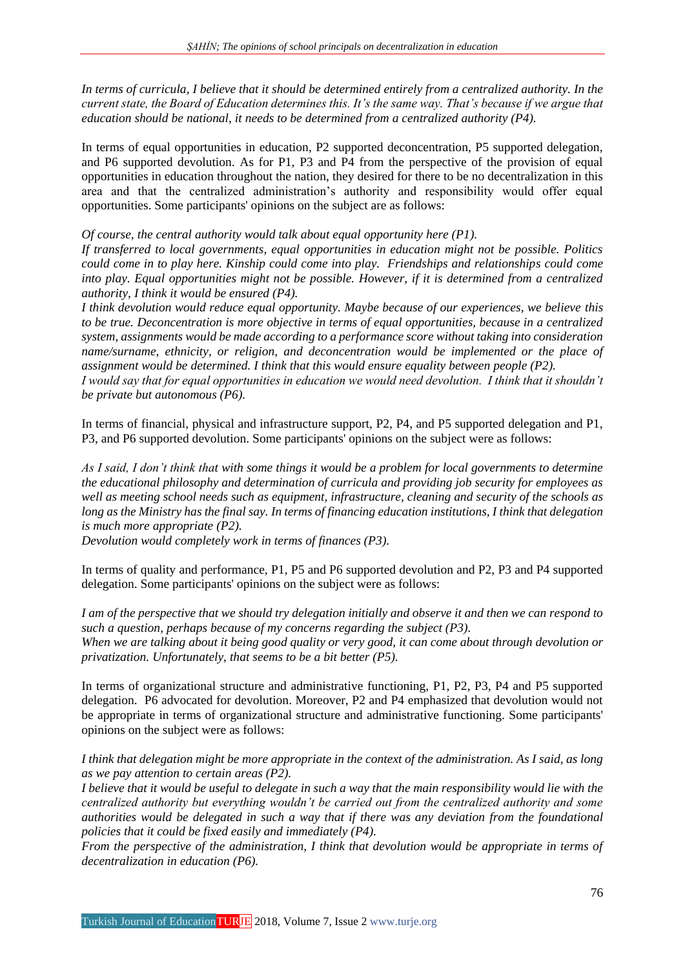*In terms of curricula, I believe that it should be determined entirely from a centralized authority. In the current state, the Board of Education determines this. It's the same way. That's because if we argue that education should be national, it needs to be determined from a centralized authority (P4).*

In terms of equal opportunities in education, P2 supported deconcentration, P5 supported delegation, and P6 supported devolution. As for P1, P3 and P4 from the perspective of the provision of equal opportunities in education throughout the nation, they desired for there to be no decentralization in this area and that the centralized administration's authority and responsibility would offer equal opportunities. Some participants' opinions on the subject are as follows:

*Of course, the central authority would talk about equal opportunity here (P1).*

*If transferred to local governments, equal opportunities in education might not be possible. Politics could come in to play here. Kinship could come into play. Friendships and relationships could come into play. Equal opportunities might not be possible. However, if it is determined from a centralized authority, I think it would be ensured (P4).*

*I think devolution would reduce equal opportunity. Maybe because of our experiences, we believe this to be true. Deconcentration is more objective in terms of equal opportunities, because in a centralized system, assignments would be made according to a performance score without taking into consideration name/surname, ethnicity, or religion, and deconcentration would be implemented or the place of assignment would be determined. I think that this would ensure equality between people (P2).*

*I would say that for equal opportunities in education we would need devolution. I think that it shouldn't be private but autonomous (P6).*

In terms of financial, physical and infrastructure support, P2, P4, and P5 supported delegation and P1, P3, and P6 supported devolution. Some participants' opinions on the subject were as follows:

*As I said, I don't think that with some things it would be a problem for local governments to determine the educational philosophy and determination of curricula and providing job security for employees as well as meeting school needs such as equipment, infrastructure, cleaning and security of the schools as long as the Ministry has the final say. In terms of financing education institutions, I think that delegation is much more appropriate (P2).*

*Devolution would completely work in terms of finances (P3).*

In terms of quality and performance, P1, P5 and P6 supported devolution and P2, P3 and P4 supported delegation. Some participants' opinions on the subject were as follows:

*I am of the perspective that we should try delegation initially and observe it and then we can respond to such a question, perhaps because of my concerns regarding the subject (P3). When we are talking about it being good quality or very good, it can come about through devolution or privatization. Unfortunately, that seems to be a bit better (P5).*

In terms of organizational structure and administrative functioning, P1, P2, P3, P4 and P5 supported delegation. P6 advocated for devolution. Moreover, P2 and P4 emphasized that devolution would not be appropriate in terms of organizational structure and administrative functioning. Some participants' opinions on the subject were as follows:

*I think that delegation might be more appropriate in the context of the administration. As I said, as long as we pay attention to certain areas (P2).*

*I believe that it would be useful to delegate in such a way that the main responsibility would lie with the centralized authority but everything wouldn't be carried out from the centralized authority and some authorities would be delegated in such a way that if there was any deviation from the foundational policies that it could be fixed easily and immediately (P4).*

*From the perspective of the administration, I think that devolution would be appropriate in terms of decentralization in education (P6).*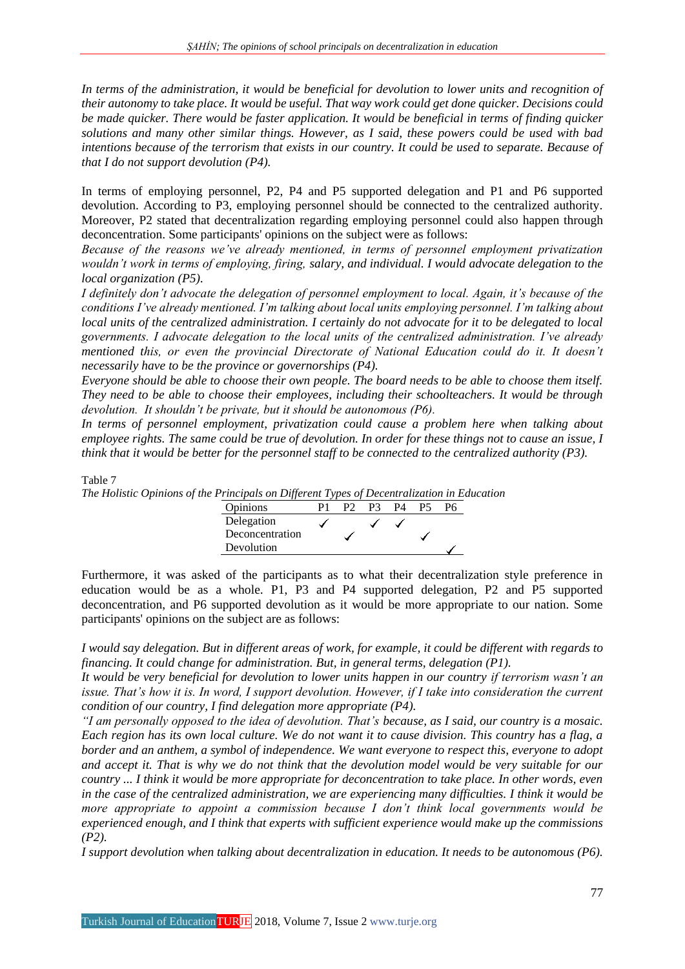*In terms of the administration, it would be beneficial for devolution to lower units and recognition of their autonomy to take place. It would be useful. That way work could get done quicker. Decisions could be made quicker. There would be faster application. It would be beneficial in terms of finding quicker solutions and many other similar things. However, as I said, these powers could be used with bad intentions because of the terrorism that exists in our country. It could be used to separate. Because of that I do not support devolution (P4).*

In terms of employing personnel, P2, P4 and P5 supported delegation and P1 and P6 supported devolution. According to P3, employing personnel should be connected to the centralized authority. Moreover, P2 stated that decentralization regarding employing personnel could also happen through deconcentration. Some participants' opinions on the subject were as follows:

*Because of the reasons we've already mentioned, in terms of personnel employment privatization wouldn't work in terms of employing, firing, salary, and individual. I would advocate delegation to the local organization (P5).*

*I definitely don't advocate the delegation of personnel employment to local. Again, it's because of the conditions I've already mentioned. I'm talking about local units employing personnel. I'm talking about local units of the centralized administration. I certainly do not advocate for it to be delegated to local governments. I advocate delegation to the local units of the centralized administration. I've already mentioned this, or even the provincial Directorate of National Education could do it. It doesn't necessarily have to be the province or governorships (P4).*

*Everyone should be able to choose their own people. The board needs to be able to choose them itself. They need to be able to choose their employees, including their schoolteachers. It would be through devolution. It shouldn't be private, but it should be autonomous (P6).*

*In terms of personnel employment, privatization could cause a problem here when talking about employee rights. The same could be true of devolution. In order for these things not to cause an issue, I think that it would be better for the personnel staff to be connected to the centralized authority (P3).*

Table 7

*The Holistic Opinions of the Principals on Different Types of Decentralization in Education*

| $\ldots$ . The pair $\ldots$ $\ldots$ is $\ldots$ if $\ldots$ |     |    |    |  |
|---------------------------------------------------------------|-----|----|----|--|
| <b>Opinions</b>                                               | P2. | P3 | P4 |  |
| Delegation                                                    |     |    |    |  |
| Deconcentration                                               |     |    |    |  |
| Devolution                                                    |     |    |    |  |

Furthermore, it was asked of the participants as to what their decentralization style preference in education would be as a whole. P1, P3 and P4 supported delegation, P2 and P5 supported deconcentration, and P6 supported devolution as it would be more appropriate to our nation. Some participants' opinions on the subject are as follows:

*I would say delegation. But in different areas of work, for example, it could be different with regards to financing. It could change for administration. But, in general terms, delegation (P1).*

*It would be very beneficial for devolution to lower units happen in our country if terrorism wasn't an issue. That's how it is. In word, I support devolution. However, if I take into consideration the current condition of our country, I find delegation more appropriate (P4).*

*"I am personally opposed to the idea of devolution. That's because, as I said, our country is a mosaic. Each region has its own local culture. We do not want it to cause division. This country has a flag, a border and an anthem, a symbol of independence. We want everyone to respect this, everyone to adopt and accept it. That is why we do not think that the devolution model would be very suitable for our country ... I think it would be more appropriate for deconcentration to take place. In other words, even in the case of the centralized administration, we are experiencing many difficulties. I think it would be more appropriate to appoint a commission because I don't think local governments would be experienced enough, and I think that experts with sufficient experience would make up the commissions (P2).*

*I support devolution when talking about decentralization in education. It needs to be autonomous (P6).*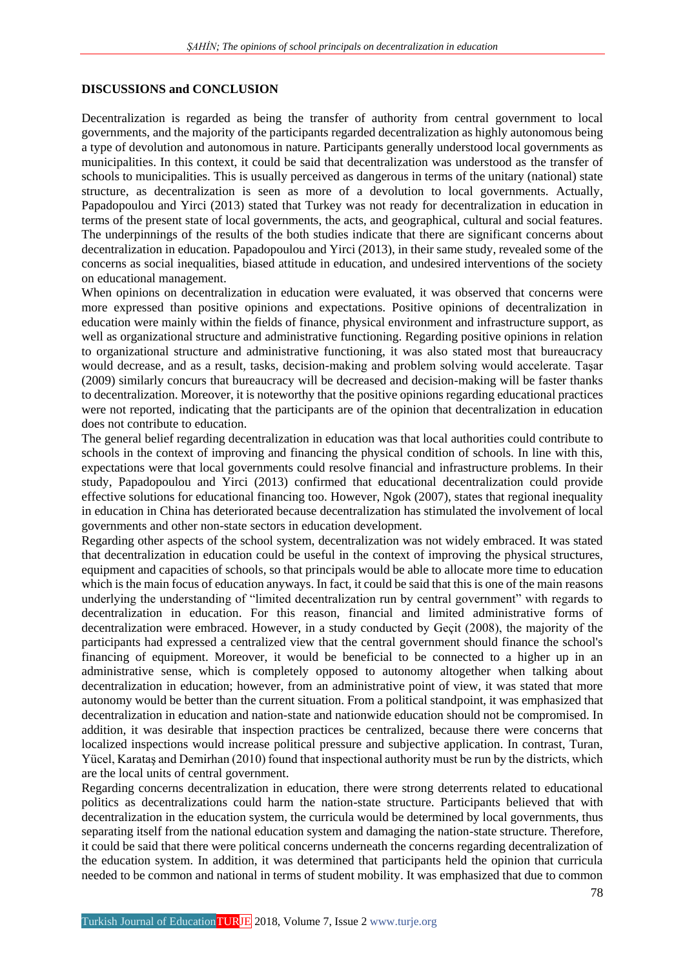## **DISCUSSIONS and CONCLUSION**

Decentralization is regarded as being the transfer of authority from central government to local governments, and the majority of the participants regarded decentralization as highly autonomous being a type of devolution and autonomous in nature. Participants generally understood local governments as municipalities. In this context, it could be said that decentralization was understood as the transfer of schools to municipalities. This is usually perceived as dangerous in terms of the unitary (national) state structure, as decentralization is seen as more of a devolution to local governments. Actually, Papadopoulou and Yirci (2013) stated that Turkey was not ready for decentralization in education in terms of the present state of local governments, the acts, and geographical, cultural and social features. The underpinnings of the results of the both studies indicate that there are significant concerns about decentralization in education. Papadopoulou and Yirci (2013), in their same study, revealed some of the concerns as social inequalities, biased attitude in education, and undesired interventions of the society on educational management.

When opinions on decentralization in education were evaluated, it was observed that concerns were more expressed than positive opinions and expectations. Positive opinions of decentralization in education were mainly within the fields of finance, physical environment and infrastructure support, as well as organizational structure and administrative functioning. Regarding positive opinions in relation to organizational structure and administrative functioning, it was also stated most that bureaucracy would decrease, and as a result, tasks, decision-making and problem solving would accelerate. Taşar (2009) similarly concurs that bureaucracy will be decreased and decision-making will be faster thanks to decentralization. Moreover, it is noteworthy that the positive opinions regarding educational practices were not reported, indicating that the participants are of the opinion that decentralization in education does not contribute to education.

The general belief regarding decentralization in education was that local authorities could contribute to schools in the context of improving and financing the physical condition of schools. In line with this, expectations were that local governments could resolve financial and infrastructure problems. In their study, Papadopoulou and Yirci (2013) confirmed that educational decentralization could provide effective solutions for educational financing too. However, Ngok (2007), states that regional inequality in education in China has deteriorated because decentralization has stimulated the involvement of local governments and other non-state sectors in education development.

Regarding other aspects of the school system, decentralization was not widely embraced. It was stated that decentralization in education could be useful in the context of improving the physical structures, equipment and capacities of schools, so that principals would be able to allocate more time to education which is the main focus of education anyways. In fact, it could be said that this is one of the main reasons underlying the understanding of "limited decentralization run by central government" with regards to decentralization in education. For this reason, financial and limited administrative forms of decentralization were embraced. However, in a study conducted by Geçit (2008), the majority of the participants had expressed a centralized view that the central government should finance the school's financing of equipment. Moreover, it would be beneficial to be connected to a higher up in an administrative sense, which is completely opposed to autonomy altogether when talking about decentralization in education; however, from an administrative point of view, it was stated that more autonomy would be better than the current situation. From a political standpoint, it was emphasized that decentralization in education and nation-state and nationwide education should not be compromised. In addition, it was desirable that inspection practices be centralized, because there were concerns that localized inspections would increase political pressure and subjective application. In contrast, Turan, Yücel, Karataş and Demirhan (2010) found that inspectional authority must be run by the districts, which are the local units of central government.

Regarding concerns decentralization in education, there were strong deterrents related to educational politics as decentralizations could harm the nation-state structure. Participants believed that with decentralization in the education system, the curricula would be determined by local governments, thus separating itself from the national education system and damaging the nation-state structure. Therefore, it could be said that there were political concerns underneath the concerns regarding decentralization of the education system. In addition, it was determined that participants held the opinion that curricula needed to be common and national in terms of student mobility. It was emphasized that due to common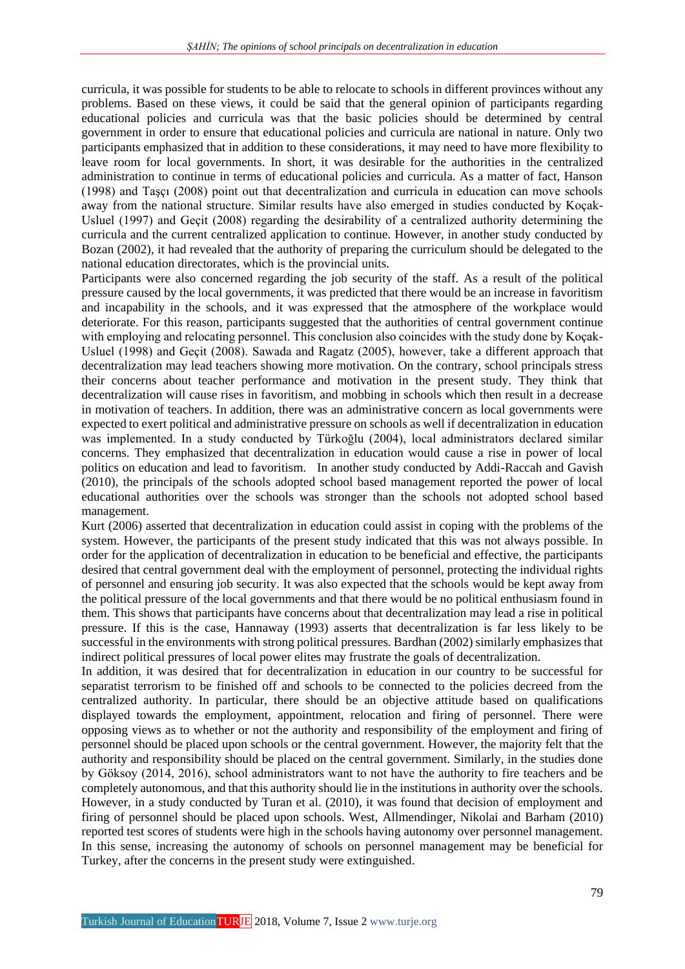curricula, it was possible for students to be able to relocate to schools in different provinces without any problems. Based on these views, it could be said that the general opinion of participants regarding educational policies and curricula was that the basic policies should be determined by central government in order to ensure that educational policies and curricula are national in nature. Only two participants emphasized that in addition to these considerations, it may need to have more flexibility to leave room for local governments. In short, it was desirable for the authorities in the centralized administration to continue in terms of educational policies and curricula. As a matter of fact, Hanson (1998) and Taşçı (2008) point out that decentralization and curricula in education can move schools away from the national structure. Similar results have also emerged in studies conducted by Koçak-Usluel (1997) and Geçit (2008) regarding the desirability of a centralized authority determining the curricula and the current centralized application to continue. However, in another study conducted by Bozan (2002), it had revealed that the authority of preparing the curriculum should be delegated to the national education directorates, which is the provincial units.

Participants were also concerned regarding the job security of the staff. As a result of the political pressure caused by the local governments, it was predicted that there would be an increase in favoritism and incapability in the schools, and it was expressed that the atmosphere of the workplace would deteriorate. For this reason, participants suggested that the authorities of central government continue with employing and relocating personnel. This conclusion also coincides with the study done by Koçak-Usluel (1998) and Geçit (2008). Sawada and Ragatz (2005), however, take a different approach that decentralization may lead teachers showing more motivation. On the contrary, school principals stress their concerns about teacher performance and motivation in the present study. They think that decentralization will cause rises in favoritism, and mobbing in schools which then result in a decrease in motivation of teachers. In addition, there was an administrative concern as local governments were expected to exert political and administrative pressure on schools as well if decentralization in education was implemented. In a study conducted by Türkoğlu (2004), local administrators declared similar concerns. They emphasized that decentralization in education would cause a rise in power of local politics on education and lead to favoritism. In another study conducted by Addi-Raccah and Gavish (2010), the principals of the schools adopted school based management reported the power of local educational authorities over the schools was stronger than the schools not adopted school based management.

Kurt (2006) asserted that decentralization in education could assist in coping with the problems of the system. However, the participants of the present study indicated that this was not always possible. In order for the application of decentralization in education to be beneficial and effective, the participants desired that central government deal with the employment of personnel, protecting the individual rights of personnel and ensuring job security. It was also expected that the schools would be kept away from the political pressure of the local governments and that there would be no political enthusiasm found in them. This shows that participants have concerns about that decentralization may lead a rise in political pressure. If this is the case, Hannaway (1993) asserts that decentralization is far less likely to be successful in the environments with strong political pressures. Bardhan (2002) similarly emphasizes that indirect political pressures of local power elites may frustrate the goals of decentralization.

In addition, it was desired that for decentralization in education in our country to be successful for separatist terrorism to be finished off and schools to be connected to the policies decreed from the centralized authority. In particular, there should be an objective attitude based on qualifications displayed towards the employment, appointment, relocation and firing of personnel. There were opposing views as to whether or not the authority and responsibility of the employment and firing of personnel should be placed upon schools or the central government. However, the majority felt that the authority and responsibility should be placed on the central government. Similarly, in the studies done by Göksoy (2014, 2016), school administrators want to not have the authority to fire teachers and be completely autonomous, and that this authority should lie in the institutions in authority over the schools. However, in a study conducted by Turan et al. (2010), it was found that decision of employment and firing of personnel should be placed upon schools. West, Allmendinger, Nikolai and Barham (2010) reported test scores of students were high in the schools having autonomy over personnel management. In this sense, increasing the autonomy of schools on personnel management may be beneficial for Turkey, after the concerns in the present study were extinguished.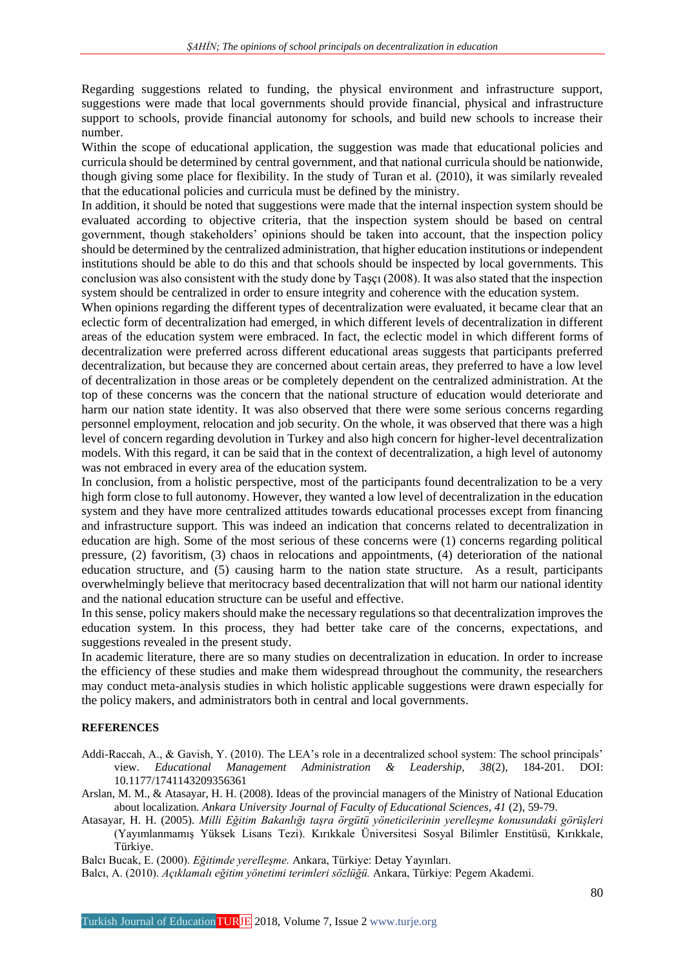Regarding suggestions related to funding, the physical environment and infrastructure support, suggestions were made that local governments should provide financial, physical and infrastructure support to schools, provide financial autonomy for schools, and build new schools to increase their number.

Within the scope of educational application, the suggestion was made that educational policies and curricula should be determined by central government, and that national curricula should be nationwide, though giving some place for flexibility. In the study of Turan et al. (2010), it was similarly revealed that the educational policies and curricula must be defined by the ministry.

In addition, it should be noted that suggestions were made that the internal inspection system should be evaluated according to objective criteria, that the inspection system should be based on central government, though stakeholders' opinions should be taken into account, that the inspection policy should be determined by the centralized administration, that higher education institutions or independent institutions should be able to do this and that schools should be inspected by local governments. This conclusion was also consistent with the study done by Taşçı (2008). It was also stated that the inspection system should be centralized in order to ensure integrity and coherence with the education system.

When opinions regarding the different types of decentralization were evaluated, it became clear that an eclectic form of decentralization had emerged, in which different levels of decentralization in different areas of the education system were embraced. In fact, the eclectic model in which different forms of decentralization were preferred across different educational areas suggests that participants preferred decentralization, but because they are concerned about certain areas, they preferred to have a low level of decentralization in those areas or be completely dependent on the centralized administration. At the top of these concerns was the concern that the national structure of education would deteriorate and harm our nation state identity. It was also observed that there were some serious concerns regarding personnel employment, relocation and job security. On the whole, it was observed that there was a high level of concern regarding devolution in Turkey and also high concern for higher-level decentralization models. With this regard, it can be said that in the context of decentralization, a high level of autonomy was not embraced in every area of the education system.

In conclusion, from a holistic perspective, most of the participants found decentralization to be a very high form close to full autonomy. However, they wanted a low level of decentralization in the education system and they have more centralized attitudes towards educational processes except from financing and infrastructure support. This was indeed an indication that concerns related to decentralization in education are high. Some of the most serious of these concerns were (1) concerns regarding political pressure, (2) favoritism, (3) chaos in relocations and appointments, (4) deterioration of the national education structure, and (5) causing harm to the nation state structure. As a result, participants overwhelmingly believe that meritocracy based decentralization that will not harm our national identity and the national education structure can be useful and effective.

In this sense, policy makers should make the necessary regulations so that decentralization improves the education system. In this process, they had better take care of the concerns, expectations, and suggestions revealed in the present study.

In academic literature, there are so many studies on decentralization in education. In order to increase the efficiency of these studies and make them widespread throughout the community, the researchers may conduct meta-analysis studies in which holistic applicable suggestions were drawn especially for the policy makers, and administrators both in central and local governments.

## **REFERENCES**

- Addi-Raccah, A., & Gavish, Y. (2010). The LEA's role in a decentralized school system: The school principals' view. *Educational Management Administration & Leadership, 38*(2), 184-201. DOI: 10.1177/1741143209356361
- Arslan, M. M., & Atasayar, H. H. (2008). Ideas of the provincial managers of the Ministry of National Education about localization. *Ankara University Journal of Faculty of Educational Sciences, 41* (2), 59-79.
- Atasayar, H. H. (2005). *Milli Eğitim Bakanlığı taşra örgütü yöneticilerinin yerelleşme konusundaki görüşleri* (Yayımlanmamış Yüksek Lisans Tezi). Kırıkkale Üniversitesi Sosyal Bilimler Enstitüsü, Kırıkkale, Türkiye.

Balcı Bucak, E. (2000). *Eğitimde yerelleşme.* Ankara, Türkiye: Detay Yayınları.

Balcı, A. (2010). *Açıklamalı eğitim yönetimi terimleri sözlüğü.* Ankara, Türkiye: Pegem Akademi.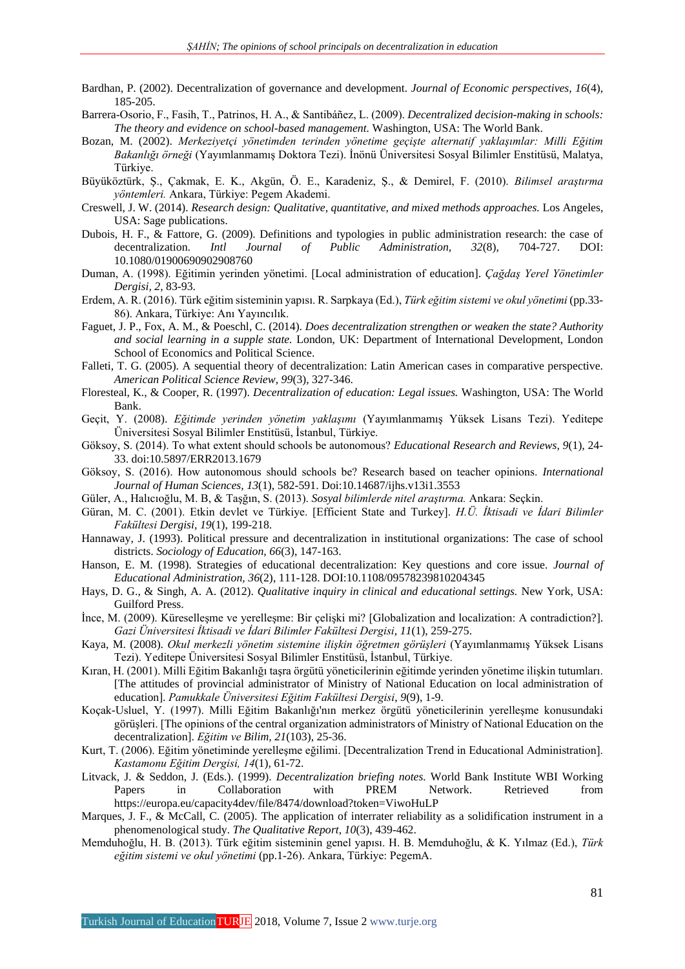- Bardhan, P. (2002). Decentralization of governance and development. *Journal of Economic perspectives, 16*(4), 185-205.
- Barrera-Osorio, F., Fasih, T., Patrinos, H. A., & Santibáñez, L. (2009). *Decentralized decision-making in schools: The theory and evidence on school-based management.* Washington, USA: The World Bank.
- Bozan, M. (2002). *Merkeziyetçi yönetimden terinden yönetime geçişte alternatif yaklaşımlar: Milli Eğitim Bakanlığı örneği* (Yayımlanmamış Doktora Tezi). İnönü Üniversitesi Sosyal Bilimler Enstitüsü, Malatya, Türkiye.
- Büyüköztürk, Ş., Çakmak, E. K., Akgün, Ö. E., Karadeniz, Ş., & Demirel, F. (2010). *Bilimsel araştırma yöntemleri.* Ankara, Türkiye: Pegem Akademi.
- Creswell, J. W. (2014). *Research design: Qualitative, quantitative, and mixed methods approaches.* Los Angeles, USA: Sage publications.
- Dubois, H. F., & Fattore, G. (2009). Definitions and typologies in public administration research: the case of decentralization. *Intl Journal of Public Administration, 32*(8), 704-727. DOI: 10.1080/01900690902908760
- Duman, A. (1998). Eğitimin yerinden yönetimi. [Local administration of education]. *Çağdaş Yerel Yönetimler Dergisi, 2,* 83-93.
- Erdem, A. R. (2016). Türk eğitim sisteminin yapısı. R. Sarpkaya (Ed.), *Türk eğitim sistemi ve okul yönetimi* (pp.33- 86). Ankara, Türkiye: Anı Yayıncılık.
- Faguet, J. P., Fox, A. M., & Poeschl, C. (2014). *Does decentralization strengthen or weaken the state? Authority and social learning in a supple state.* London, UK: Department of International Development, London School of Economics and Political Science.
- Falleti, T. G. (2005). A sequential theory of decentralization: Latin American cases in comparative perspective. *American Political Science Review, 99*(3), 327-346.
- Floresteal, K., & Cooper, R. (1997). *Decentralization of education: Legal issues.* Washington, USA: The World Bank.
- Geçit, Y. (2008). *Eğitimde yerinden yönetim yaklaşımı* (Yayımlanmamış Yüksek Lisans Tezi). Yeditepe Üniversitesi Sosyal Bilimler Enstitüsü, İstanbul, Türkiye.
- Göksoy, S. (2014). To what extent should schools be autonomous? *Educational Research and Reviews, 9*(1), 24- 33. doi:10.5897/ERR2013.1679
- Göksoy, S. (2016). How autonomous should schools be? Research based on teacher opinions. *International Journal of Human Sciences, 13*(1), 582-591. Doi:10.14687/ijhs.v13i1.3553
- Güler, A., Halıcıoğlu, M. B, & Taşğın, S. (2013). *Sosyal bilimlerde nitel araştırma.* Ankara: Seçkin.
- Güran, M. C. (2001). Etkin devlet ve Türkiye. [Efficient State and Turkey]. *H.Ü. İktisadi ve İdari Bilimler Fakültesi Dergisi, 19*(1), 199-218.
- Hannaway, J. (1993). Political pressure and decentralization in institutional organizations: The case of school districts. *Sociology of Education, 66*(3), 147-163.
- Hanson, E. M. (1998). Strategies of educational decentralization: Key questions and core issue. *Journal of Educational Administration, 36*(2), 111-128. DOI:10.1108/09578239810204345
- Hays, D. G., & Singh, A. A. (2012). *Qualitative inquiry in clinical and educational settings.* New York, USA: Guilford Press.
- İnce, M. (2009). Küreselleşme ve yerelleşme: Bir çelişki mi? [Globalization and localization: A contradiction?]. *Gazi Üniversitesi İktisadi ve İdari Bilimler Fakültesi Dergisi, 11*(1), 259-275.
- Kaya, M. (2008). *Okul merkezli yönetim sistemine ilişkin öğretmen görüşleri* (Yayımlanmamış Yüksek Lisans Tezi). Yeditepe Üniversitesi Sosyal Bilimler Enstitüsü, İstanbul, Türkiye.
- Kıran, H. (2001). Milli Eğitim Bakanlığı taşra örgütü yöneticilerinin eğitimde yerinden yönetime ilişkin tutumları. [The attitudes of provincial administrator of Ministry of National Education on local administration of education]. *Pamukkale Üniversitesi Eğitim Fakültesi Dergisi*, *9*(9), 1-9.
- Koçak-Usluel, Y. (1997). Milli Eğitim Bakanlığı'nın merkez örgütü yöneticilerinin yerelleşme konusundaki görüşleri. [The opinions of the central organization administrators of Ministry of National Education on the decentralization]. *Eğitim ve Bilim, 21*(103), 25-36.
- Kurt, T. (2006). Eğitim yönetiminde yerelleşme eğilimi. [Decentralization Trend in Educational Administration]. *Kastamonu Eğitim Dergisi, 14*(1), 61-72.
- Litvack, J. & Seddon, J. (Eds.). (1999). *Decentralization briefing notes.* World Bank Institute WBI Working Papers in Collaboration with PREM Network. Retrieved from [https://europa.eu/c](https://europa.eu/)apacity4dev/file/8474/download?token=ViwoHuLP
- Marques, J. F., & McCall, C. (2005). The application of interrater reliability as a solidification instrument in a phenomenological study. *The Qualitative Report, 10*(3), 439-462.
- Memduhoğlu, H. B. (2013). Türk eğitim sisteminin genel yapısı. H. B. Memduhoğlu, & K. Yılmaz (Ed.), *Türk eğitim sistemi ve okul yönetimi* (pp.1-26). Ankara, Türkiye: PegemA.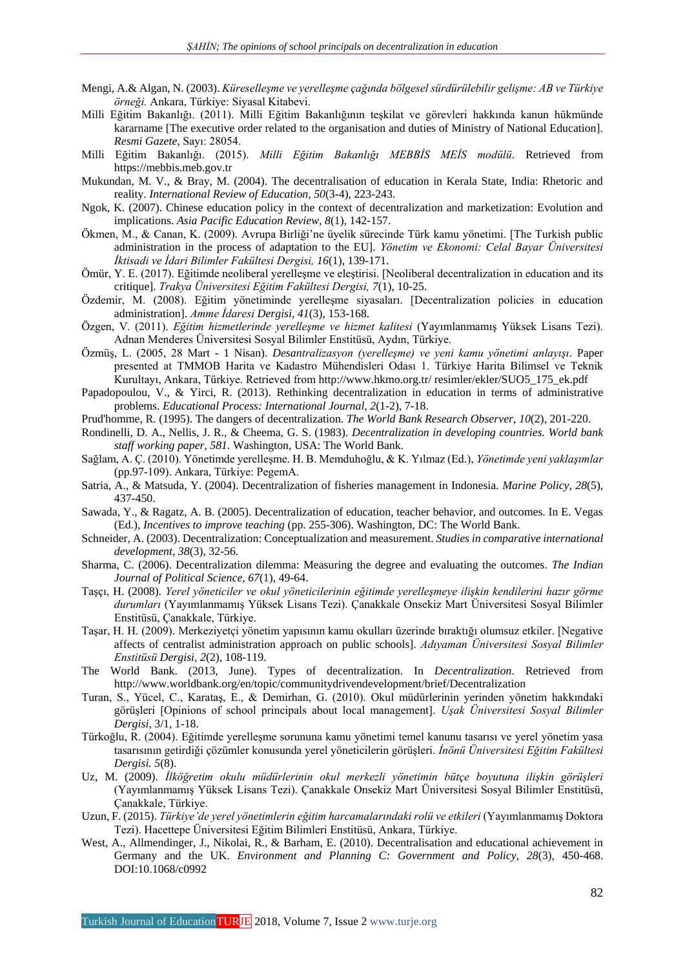- Mengi, A.& Algan, N. (2003). *Küreselleşme ve yerelleşme çağında bölgesel sürdürülebilir gelişme: AB ve Türkiye örneği.* Ankara, Türkiye: Siyasal Kitabevi.
- Milli Eğitim Bakanlığı. (2011). Milli Eğitim Bakanlığının teşkilat ve görevleri hakkında kanun hükmünde kararname [The executive order related to the organisation and duties of Ministry of National Education]. *Resmi Gazete*, Sayı: 28054.
- Milli Eğitim Bakanlığı. (2015). *Milli Eğitim Bakanlığı MEBBİS MEİS modülü*. Retrieved from [https://mebbis.meb.gov.tr](https://mebbis.meb.gov.tr/)
- Mukundan, M. V., & Bray, M. (2004). The decentralisation of education in Kerala State, India: Rhetoric and reality. *International Review of Education, 50*(3-4), 223-243.
- Ngok, K. (2007). Chinese education policy in the context of decentralization and marketization: Evolution and implications. *Asia Pacific Education Review, 8*(1), 142-157.
- Ökmen, M., & Canan, K. (2009). Avrupa Birliği'ne üyelik sürecinde Türk kamu yönetimi. [The Turkish public administration in the process of adaptation to the EU]. *Yönetim ve Ekonomi: Celal Bayar Üniversitesi İktisadi ve İdari Bilimler Fakültesi Dergisi, 16*(1), 139-171.
- Ömür, Y. E. (2017). Eğitimde neoliberal yerelleşme ve eleştirisi. [Neoliberal decentralization in education and its critique]. *Trakya Üniversitesi Eğitim Fakültesi Dergisi, 7*(1), 10-25.
- Özdemir, M. (2008). Eğitim yönetiminde yerelleşme siyasaları. [Decentralization policies in education administration]. *Amme İdaresi Dergisi, 41*(3), 153-168.
- Özgen, V. (2011). *Eğitim hizmetlerinde yerelleşme ve hizmet kalitesi* (Yayımlanmamış Yüksek Lisans Tezi). Adnan Menderes Üniversitesi Sosyal Bilimler Enstitüsü, Aydın, Türkiye.
- Özmüş, L. (2005, 28 Mart 1 Nisan). *Desantralizasyon (yerelleşme) ve yeni kamu yönetimi anlayışı*. Paper presented at TMMOB Harita ve Kadastro Mühendisleri Odası 1. Türkiye Harita Bilimsel ve Teknik Kurultayı, Ankara, Türkiye. Retrieved from<http://www.hkmo.org.tr/> resimler/ekler/SUO5\_175\_ek.pdf
- Papadopoulou, V., & Yirci, R. (2013). Rethinking decentralization in education in terms of administrative problems. *Educational Process: International Journal, 2*(1-2), 7-18.
- Prud'homme, R. (1995). The dangers of decentralization. *The World Bank Research Observer*, *10*(2), 201-220.
- Rondinelli, D. A., Nellis, J. R., & Cheema, G. S. (1983). *Decentralization in developing countries. World bank staff working paper, 581.* Washington, USA: The World Bank.
- Sağlam, A. Ç. (2010). Yönetimde yerelleşme. H. B. Memduhoğlu, & K. Yılmaz (Ed.), *Yönetimde yeni yaklaşımlar* (pp.97-109). Ankara, Türkiye: PegemA.
- Satria, A., & Matsuda, Y. (2004). Decentralization of fisheries management in Indonesia. *Marine Policy, 28*(5), 437-450.
- Sawada, Y., & Ragatz, A. B. (2005). Decentralization of education, teacher behavior, and outcomes. In E. Vegas (Ed.), *Incentives to improve teaching* (pp. 255-306). Washington, DC: The World Bank.
- Schneider, A. (2003). Decentralization: Conceptualization and measurement. *Studies in comparative international development, 38*(3), 32-56.
- Sharma, C. (2006). Decentralization dilemma: Measuring the degree and evaluating the outcomes. *The Indian Journal of Political Science, 67*(1), 49-64.
- Taşçı, H. (2008). *Yerel yöneticiler ve okul yöneticilerinin eğitimde yerelleşmeye ilişkin kendilerini hazır görme durumları* (Yayımlanmamış Yüksek Lisans Tezi). Çanakkale Onsekiz Mart Üniversitesi Sosyal Bilimler Enstitüsü, Çanakkale, Türkiye.
- Taşar, H. H. (2009). Merkeziyetçi yönetim yapısının kamu okulları üzerinde bıraktığı olumsuz etkiler. [Negative affects of centralist administration approach on public schools]. *Adıyaman Üniversitesi Sosyal Bilimler Enstitüsü Dergisi, 2*(2), 108-119.
- The World Bank. (2013, June). Types of decentralization. In *Decentralization*. Retrieved from http://www.worldbank.org/en/topic/communitydrivendevelopment/brief/Decentralization
- Turan, S., Yücel, C., Karataş, E., & Demirhan, G. (2010). Okul müdürlerinin yerinden yönetim hakkındaki görüşleri [Opinions of school principals about local management]. *Uşak Üniversitesi Sosyal Bilimler Dergisi*, 3/1, 1-18.
- Türkoğlu, R. (2004). Eğitimde yerelleşme sorununa kamu yönetimi temel kanunu tasarısı ve yerel yönetim yasa tasarısının getirdiği çözümler konusunda yerel yöneticilerin görüşleri. *İnönü Üniversitesi Eğitim Fakültesi Dergisi. 5*(8).
- Uz, M. (2009). *İlköğretim okulu müdürlerinin okul merkezli yönetimin bütçe boyutuna ilişkin görüşleri* (Yayımlanmamış Yüksek Lisans Tezi). Çanakkale Onsekiz Mart Üniversitesi Sosyal Bilimler Enstitüsü, Çanakkale, Türkiye.
- Uzun, F. (2015). *Türkiye'de yerel yönetimlerin eğitim harcamalarındaki rolü ve etkileri* (Yayımlanmamış Doktora Tezi). Hacettepe Üniversitesi Eğitim Bilimleri Enstitüsü, Ankara, Türkiye.
- West, A., Allmendinger, J., Nikolai, R., & Barham, E. (2010). Decentralisation and educational achievement in Germany and the UK. *Environment and Planning C: Government and Policy, 28*(3), 450-468. DOI:10.1068/c0992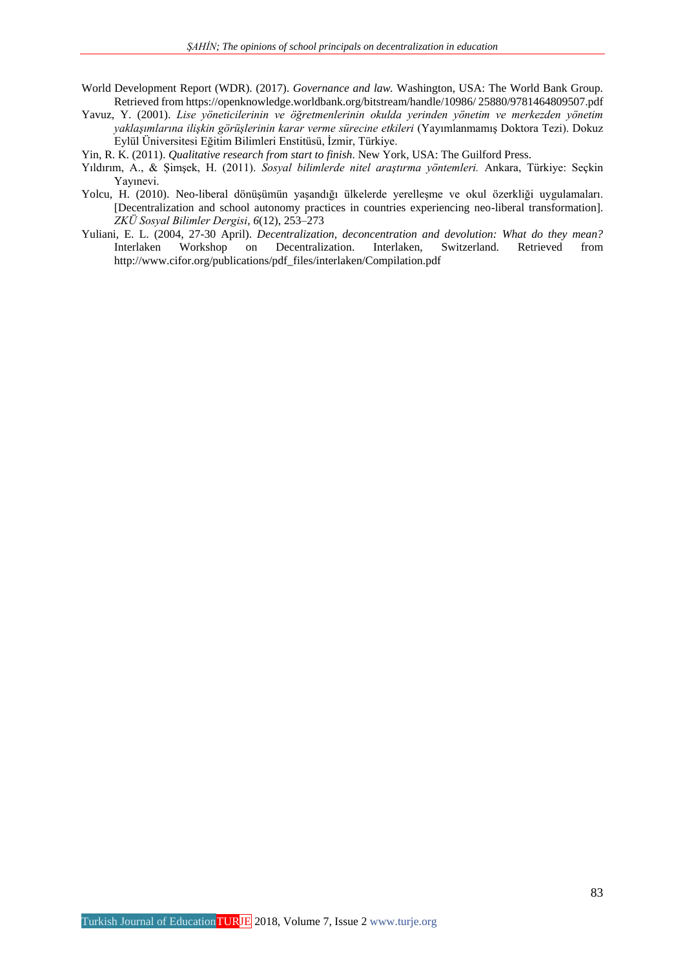- World Development Report (WDR). (2017). *Governance and law.* Washington, USA: The World Bank Group. Retrieved fro[m https://openknowledge.worldbank.org/bitstream/handle/10986/](https://openknowledge.worldbank.org/bitstream/handle/10986/) 25880/9781464809507.pdf
- Yavuz, Y. (2001). *Lise yöneticilerinin ve öğretmenlerinin okulda yerinden yönetim ve merkezden yönetim yaklaşımlarına ilişkin görüşlerinin karar verme sürecine etkileri* (Yayımlanmamış Doktora Tezi). Dokuz Eylül Üniversitesi Eğitim Bilimleri Enstitüsü, İzmir, Türkiye.
- Yin, R. K. (2011). *Qualitative research from start to finish*. New York, USA: The Guilford Press.
- Yıldırım, A., & Şimşek, H. (2011). *Sosyal bilimlerde nitel araştırma yöntemleri.* Ankara, Türkiye: Seçkin Yayınevi.
- Yolcu, H. (2010). Neo-liberal dönüşümün yaşandığı ülkelerde yerelleşme ve okul özerkliği uygulamaları. [Decentralization and school autonomy practices in countries experiencing neo-liberal transformation]. *ZKÜ Sosyal Bilimler Dergisi, 6*(12), 253–273
- Yuliani, E. L. (2004, 27-30 April). *Decentralization, deconcentration and devolution: What do they mean?*  Interlaken Workshop on Decentralization. Interlaken, Switzerland. Retrieved from [http://www.cifor.org/publications/pdf\\_files/interlaken/Compilation.pdf](http://www.cifor.org/publications/pdf_files/interlaken/Compilation.pdf)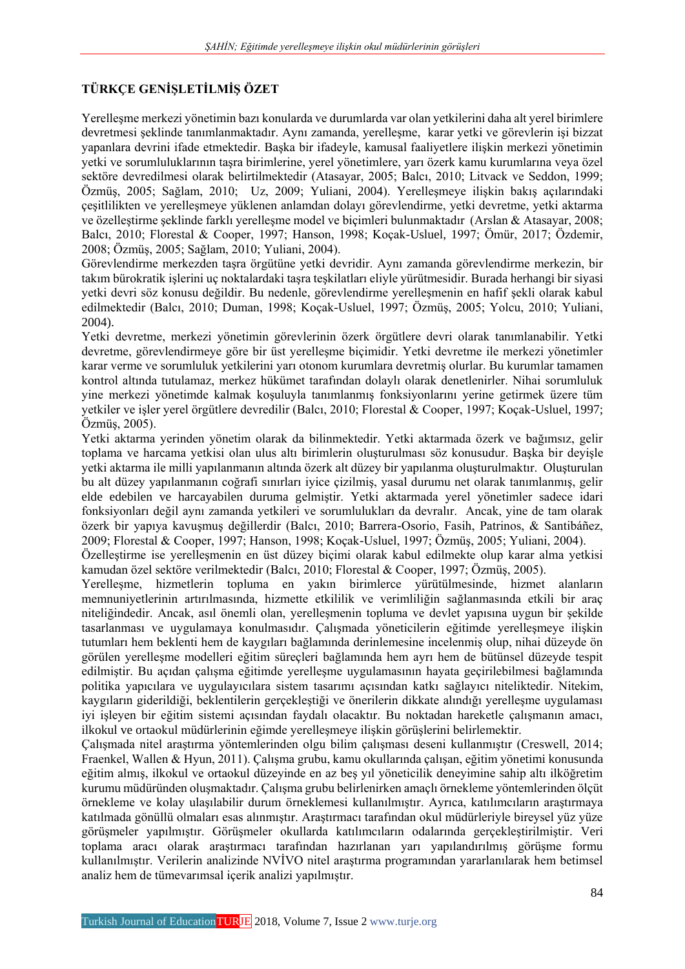# **TÜRKÇE GENİŞLETİLMİŞ ÖZET**

Yerelleşme merkezi yönetimin bazı konularda ve durumlarda var olan yetkilerini daha alt yerel birimlere devretmesi şeklinde tanımlanmaktadır. Aynı zamanda, yerelleşme, karar yetki ve görevlerin işi bizzat yapanlara devrini ifade etmektedir. Başka bir ifadeyle, kamusal faaliyetlere ilişkin merkezi yönetimin yetki ve sorumluluklarının taşra birimlerine, yerel yönetimlere, yarı özerk kamu kurumlarına veya özel sektöre devredilmesi olarak belirtilmektedir (Atasayar, 2005; Balcı, 2010; Litvack ve Seddon, 1999; Özmüş, 2005; Sağlam, 2010; Uz, 2009; Yuliani, 2004). Yerelleşmeye ilişkin bakış açılarındaki çeşitlilikten ve yerelleşmeye yüklenen anlamdan dolayı görevlendirme, yetki devretme, yetki aktarma ve özelleştirme şeklinde farklı yerelleşme model ve biçimleri bulunmaktadır (Arslan & Atasayar, 2008; Balcı, 2010; Florestal & Cooper, 1997; Hanson, 1998; Koçak-Usluel, 1997; Ömür, 2017; Özdemir, 2008; Özmüş, 2005; Sağlam, 2010; Yuliani, 2004).

Görevlendirme merkezden taşra örgütüne yetki devridir. Aynı zamanda görevlendirme merkezin, bir takım bürokratik işlerini uç noktalardaki taşra teşkilatları eliyle yürütmesidir. Burada herhangi bir siyasi yetki devri söz konusu değildir. Bu nedenle, görevlendirme yerelleşmenin en hafif şekli olarak kabul edilmektedir (Balcı, 2010; Duman, 1998; Koçak-Usluel, 1997; Özmüş, 2005; Yolcu, 2010; Yuliani, 2004).

Yetki devretme, merkezi yönetimin görevlerinin özerk örgütlere devri olarak tanımlanabilir. Yetki devretme, görevlendirmeye göre bir üst yerelleşme biçimidir. Yetki devretme ile merkezi yönetimler karar verme ve sorumluluk yetkilerini yarı otonom kurumlara devretmiş olurlar. Bu kurumlar tamamen kontrol altında tutulamaz, merkez hükümet tarafından dolaylı olarak denetlenirler. Nihai sorumluluk yine merkezi yönetimde kalmak koşuluyla tanımlanmış fonksiyonlarını yerine getirmek üzere tüm yetkiler ve işler yerel örgütlere devredilir (Balcı, 2010; Florestal & Cooper, 1997; Koçak-Usluel, 1997; Özmüş, 2005).

Yetki aktarma yerinden yönetim olarak da bilinmektedir. Yetki aktarmada özerk ve bağımsız, gelir toplama ve harcama yetkisi olan ulus altı birimlerin oluşturulması söz konusudur. Başka bir deyişle yetki aktarma ile milli yapılanmanın altında özerk alt düzey bir yapılanma oluşturulmaktır. Oluşturulan bu alt düzey yapılanmanın coğrafi sınırları iyice çizilmiş, yasal durumu net olarak tanımlanmış, gelir elde edebilen ve harcayabilen duruma gelmiştir. Yetki aktarmada yerel yönetimler sadece idari fonksiyonları değil aynı zamanda yetkileri ve sorumlulukları da devralır. Ancak, yine de tam olarak özerk bir yapıya kavuşmuş değillerdir (Balcı, 2010; Barrera-Osorio, Fasih, Patrinos, & Santibáñez, 2009; Florestal & Cooper, 1997; Hanson, 1998; Koçak-Usluel, 1997; Özmüş, 2005; Yuliani, 2004).

Özelleştirme ise yerelleşmenin en üst düzey biçimi olarak kabul edilmekte olup karar alma yetkisi kamudan özel sektöre verilmektedir (Balcı, 2010; Florestal & Cooper, 1997; Özmüş, 2005).

Yerelleşme, hizmetlerin topluma en yakın birimlerce yürütülmesinde, hizmet alanların memnuniyetlerinin artırılmasında, hizmette etkililik ve verimliliğin sağlanmasında etkili bir araç niteliğindedir. Ancak, asıl önemli olan, yerelleşmenin topluma ve devlet yapısına uygun bir şekilde tasarlanması ve uygulamaya konulmasıdır. Çalışmada yöneticilerin eğitimde yerelleşmeye ilişkin tutumları hem beklenti hem de kaygıları bağlamında derinlemesine incelenmiş olup, nihai düzeyde ön görülen yerelleşme modelleri eğitim süreçleri bağlamında hem ayrı hem de bütünsel düzeyde tespit edilmiştir. Bu açıdan çalışma eğitimde yerelleşme uygulamasının hayata geçirilebilmesi bağlamında politika yapıcılara ve uygulayıcılara sistem tasarımı açısından katkı sağlayıcı niteliktedir. Nitekim, kaygıların giderildiği, beklentilerin gerçekleştiği ve önerilerin dikkate alındığı yerelleşme uygulaması iyi işleyen bir eğitim sistemi açısından faydalı olacaktır. Bu noktadan hareketle çalışmanın amacı, ilkokul ve ortaokul müdürlerinin eğimde yerelleşmeye ilişkin görüşlerini belirlemektir.

Çalışmada nitel araştırma yöntemlerinden olgu bilim çalışması deseni kullanmıştır (Creswell, 2014; Fraenkel, Wallen & Hyun, 2011). Çalışma grubu, kamu okullarında çalışan, eğitim yönetimi konusunda eğitim almış, ilkokul ve ortaokul düzeyinde en az beş yıl yöneticilik deneyimine sahip altı ilköğretim kurumu müdüründen oluşmaktadır. Çalışma grubu belirlenirken amaçlı örnekleme yöntemlerinden ölçüt örnekleme ve kolay ulaşılabilir durum örneklemesi kullanılmıştır. Ayrıca, katılımcıların araştırmaya katılmada gönüllü olmaları esas alınmıştır. Araştırmacı tarafından okul müdürleriyle bireysel yüz yüze görüşmeler yapılmıştır. Görüşmeler okullarda katılımcıların odalarında gerçekleştirilmiştir. Veri toplama aracı olarak araştırmacı tarafından hazırlanan yarı yapılandırılmış görüşme formu kullanılmıştır. Verilerin analizinde NVİVO nitel araştırma programından yararlanılarak hem betimsel analiz hem de tümevarımsal içerik analizi yapılmıştır.